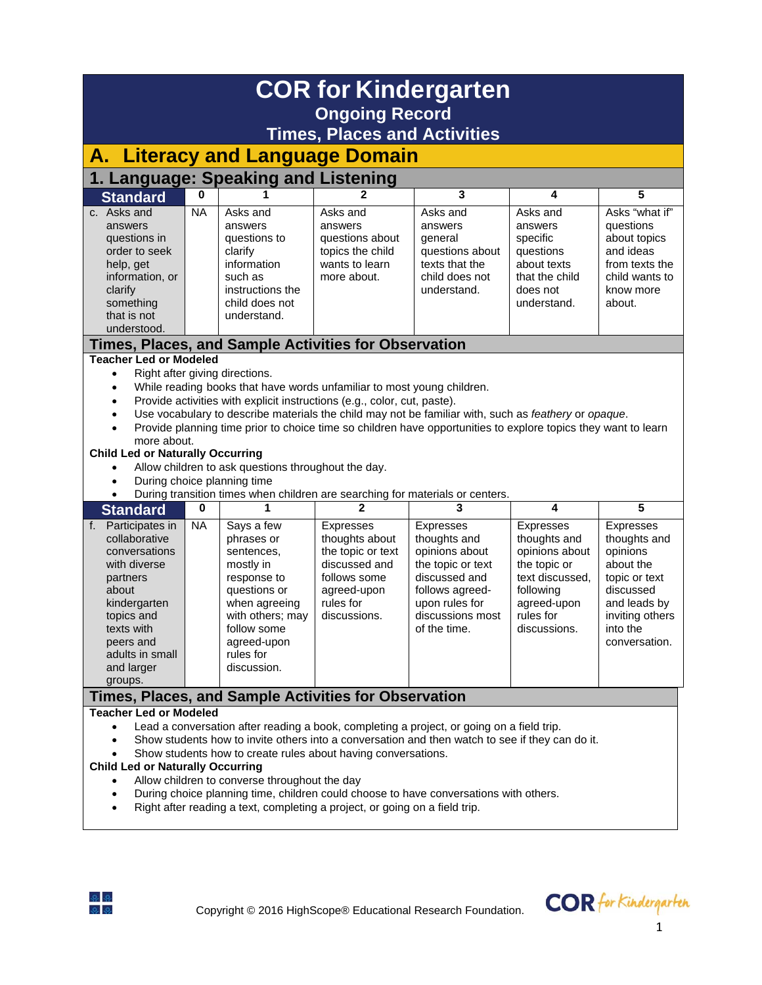| <b>COR for Kindergarten</b>                                                                                                                                                                                                                                                                                                                                                                                                                                                                                                                                                                                                                                            |                                                                                                                                                                                                                                                                                                                                                                                                                                                                                                                                                                                                 |                                                                                                                                                                                   |                                                                                                                                      |                                                                                                                                                                   |                                                                                                                                         |                                                                                                                                                  |  |  |  |
|------------------------------------------------------------------------------------------------------------------------------------------------------------------------------------------------------------------------------------------------------------------------------------------------------------------------------------------------------------------------------------------------------------------------------------------------------------------------------------------------------------------------------------------------------------------------------------------------------------------------------------------------------------------------|-------------------------------------------------------------------------------------------------------------------------------------------------------------------------------------------------------------------------------------------------------------------------------------------------------------------------------------------------------------------------------------------------------------------------------------------------------------------------------------------------------------------------------------------------------------------------------------------------|-----------------------------------------------------------------------------------------------------------------------------------------------------------------------------------|--------------------------------------------------------------------------------------------------------------------------------------|-------------------------------------------------------------------------------------------------------------------------------------------------------------------|-----------------------------------------------------------------------------------------------------------------------------------------|--------------------------------------------------------------------------------------------------------------------------------------------------|--|--|--|
| <b>Ongoing Record</b><br><b>Times, Places and Activities</b>                                                                                                                                                                                                                                                                                                                                                                                                                                                                                                                                                                                                           |                                                                                                                                                                                                                                                                                                                                                                                                                                                                                                                                                                                                 |                                                                                                                                                                                   |                                                                                                                                      |                                                                                                                                                                   |                                                                                                                                         |                                                                                                                                                  |  |  |  |
| <b>Literacy and Language Domain</b><br>А.                                                                                                                                                                                                                                                                                                                                                                                                                                                                                                                                                                                                                              |                                                                                                                                                                                                                                                                                                                                                                                                                                                                                                                                                                                                 |                                                                                                                                                                                   |                                                                                                                                      |                                                                                                                                                                   |                                                                                                                                         |                                                                                                                                                  |  |  |  |
| 1. Language: Speaking and Listening                                                                                                                                                                                                                                                                                                                                                                                                                                                                                                                                                                                                                                    |                                                                                                                                                                                                                                                                                                                                                                                                                                                                                                                                                                                                 |                                                                                                                                                                                   |                                                                                                                                      |                                                                                                                                                                   |                                                                                                                                         |                                                                                                                                                  |  |  |  |
| <b>Standard</b>                                                                                                                                                                                                                                                                                                                                                                                                                                                                                                                                                                                                                                                        | 0                                                                                                                                                                                                                                                                                                                                                                                                                                                                                                                                                                                               |                                                                                                                                                                                   | 2                                                                                                                                    | 3                                                                                                                                                                 | 4                                                                                                                                       | 5                                                                                                                                                |  |  |  |
| c. Asks and<br>answers<br>questions in<br>order to seek<br>help, get<br>information, or<br>clarify<br>something<br>that is not<br>understood.                                                                                                                                                                                                                                                                                                                                                                                                                                                                                                                          | <b>NA</b>                                                                                                                                                                                                                                                                                                                                                                                                                                                                                                                                                                                       | Asks and<br>answers<br>questions to<br>clarify<br>information<br>such as<br>instructions the<br>child does not<br>understand.                                                     | Asks and<br>answers<br>questions about<br>topics the child<br>wants to learn<br>more about.                                          | Asks and<br>answers<br>general<br>questions about<br>texts that the<br>child does not<br>understand.                                                              | Asks and<br>answers<br>specific<br>questions<br>about texts<br>that the child<br>does not<br>understand.                                | Asks "what if"<br>questions<br>about topics<br>and ideas<br>from texts the<br>child wants to<br>know more<br>about.                              |  |  |  |
|                                                                                                                                                                                                                                                                                                                                                                                                                                                                                                                                                                                                                                                                        |                                                                                                                                                                                                                                                                                                                                                                                                                                                                                                                                                                                                 |                                                                                                                                                                                   | Times, Places, and Sample Activities for Observation                                                                                 |                                                                                                                                                                   |                                                                                                                                         |                                                                                                                                                  |  |  |  |
| $\bullet$<br>$\bullet$<br>$\bullet$<br>$\bullet$<br>$\bullet$<br>During transition times when children are searching for materials or centers.                                                                                                                                                                                                                                                                                                                                                                                                                                                                                                                         | <b>Teacher Led or Modeled</b><br>Right after giving directions.<br>While reading books that have words unfamiliar to most young children.<br>Provide activities with explicit instructions (e.g., color, cut, paste).<br>Use vocabulary to describe materials the child may not be familiar with, such as feathery or opaque.<br>Provide planning time prior to choice time so children have opportunities to explore topics they want to learn<br>more about.<br><b>Child Led or Naturally Occurring</b><br>Allow children to ask questions throughout the day.<br>During choice planning time |                                                                                                                                                                                   |                                                                                                                                      |                                                                                                                                                                   |                                                                                                                                         |                                                                                                                                                  |  |  |  |
| <b>Standard</b>                                                                                                                                                                                                                                                                                                                                                                                                                                                                                                                                                                                                                                                        | 0                                                                                                                                                                                                                                                                                                                                                                                                                                                                                                                                                                                               | 1                                                                                                                                                                                 | $\mathbf 2$                                                                                                                          | 3                                                                                                                                                                 | 4                                                                                                                                       | 5                                                                                                                                                |  |  |  |
| f. Participates in<br>collaborative<br>conversations<br>with diverse<br>partners<br>about<br>kindergarten<br>topics and<br>texts with<br>peers and<br>adults in small<br>and larger<br>groups.                                                                                                                                                                                                                                                                                                                                                                                                                                                                         | <b>NA</b>                                                                                                                                                                                                                                                                                                                                                                                                                                                                                                                                                                                       | Says a few<br>phrases or<br>sentences,<br>mostly in<br>response to<br>questions or<br>when agreeing<br>with others; may<br>follow some<br>agreed-upon<br>rules for<br>discussion. | <b>Expresses</b><br>thoughts about<br>the topic or text<br>discussed and<br>follows some<br>agreed-upon<br>rules for<br>discussions. | <b>Expresses</b><br>thoughts and<br>opinions about<br>the topic or text<br>discussed and<br>follows agreed-<br>upon rules for<br>discussions most<br>of the time. | Expresses<br>thoughts and<br>opinions about<br>the topic or<br>text discussed.<br>following<br>agreed-upon<br>rules for<br>discussions. | Expresses<br>thoughts and<br>opinions<br>about the<br>topic or text<br>discussed<br>and leads by<br>inviting others<br>into the<br>conversation. |  |  |  |
|                                                                                                                                                                                                                                                                                                                                                                                                                                                                                                                                                                                                                                                                        |                                                                                                                                                                                                                                                                                                                                                                                                                                                                                                                                                                                                 |                                                                                                                                                                                   |                                                                                                                                      |                                                                                                                                                                   |                                                                                                                                         |                                                                                                                                                  |  |  |  |
| Times, Places, and Sample Activities for Observation<br><b>Teacher Led or Modeled</b><br>Lead a conversation after reading a book, completing a project, or going on a field trip.<br>$\bullet$<br>Show students how to invite others into a conversation and then watch to see if they can do it.<br>$\bullet$<br>Show students how to create rules about having conversations.<br><b>Child Led or Naturally Occurring</b><br>Allow children to converse throughout the day<br>During choice planning time, children could choose to have conversations with others.<br>٠<br>Right after reading a text, completing a project, or going on a field trip.<br>$\bullet$ |                                                                                                                                                                                                                                                                                                                                                                                                                                                                                                                                                                                                 |                                                                                                                                                                                   |                                                                                                                                      |                                                                                                                                                                   |                                                                                                                                         |                                                                                                                                                  |  |  |  |



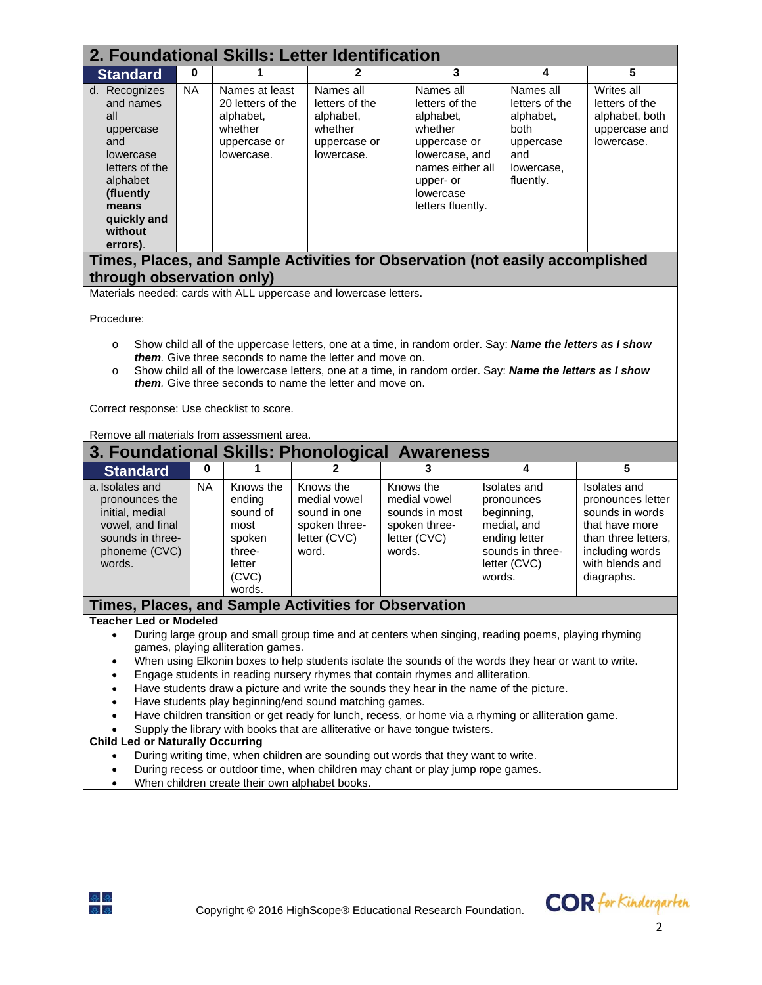| 2. Foundational Skills: Letter Identification                                                                                                                                                                                                                                                                                                                                                                                                                                                                                                                                                                                                                                                                                                                                                                                                                                                                                                                                                                                                                                                                                                       |           |                                                                                           |                                                                                     |                                                                                                                                                          |                                                                                                                        |   |                                                                                                                                                   |  |  |  |
|-----------------------------------------------------------------------------------------------------------------------------------------------------------------------------------------------------------------------------------------------------------------------------------------------------------------------------------------------------------------------------------------------------------------------------------------------------------------------------------------------------------------------------------------------------------------------------------------------------------------------------------------------------------------------------------------------------------------------------------------------------------------------------------------------------------------------------------------------------------------------------------------------------------------------------------------------------------------------------------------------------------------------------------------------------------------------------------------------------------------------------------------------------|-----------|-------------------------------------------------------------------------------------------|-------------------------------------------------------------------------------------|----------------------------------------------------------------------------------------------------------------------------------------------------------|------------------------------------------------------------------------------------------------------------------------|---|---------------------------------------------------------------------------------------------------------------------------------------------------|--|--|--|
| <b>Standard</b>                                                                                                                                                                                                                                                                                                                                                                                                                                                                                                                                                                                                                                                                                                                                                                                                                                                                                                                                                                                                                                                                                                                                     | 0         |                                                                                           | $\mathbf{2}$                                                                        | 3                                                                                                                                                        |                                                                                                                        | 4 | 5                                                                                                                                                 |  |  |  |
| d. Recognizes<br>and names<br>all<br>uppercase<br>and<br>lowercase<br>letters of the<br>alphabet<br>(fluently<br>means<br>quickly and<br>without<br>errors).                                                                                                                                                                                                                                                                                                                                                                                                                                                                                                                                                                                                                                                                                                                                                                                                                                                                                                                                                                                        | <b>NA</b> | Names at least<br>20 letters of the<br>alphabet,<br>whether<br>uppercase or<br>lowercase. | Names all<br>letters of the<br>alphabet,<br>whether<br>uppercase or<br>lowercase.   | Names all<br>letters of the<br>alphabet,<br>whether<br>uppercase or<br>lowercase, and<br>names either all<br>upper- or<br>lowercase<br>letters fluently. | Names all<br>letters of the<br>alphabet,<br>both<br>uppercase<br>and<br>lowercase,<br>fluently.                        |   | Writes all<br>letters of the<br>alphabet, both<br>uppercase and<br>lowercase.                                                                     |  |  |  |
|                                                                                                                                                                                                                                                                                                                                                                                                                                                                                                                                                                                                                                                                                                                                                                                                                                                                                                                                                                                                                                                                                                                                                     |           |                                                                                           |                                                                                     | Times, Places, and Sample Activities for Observation (not easily accomplished                                                                            |                                                                                                                        |   |                                                                                                                                                   |  |  |  |
| through observation only)                                                                                                                                                                                                                                                                                                                                                                                                                                                                                                                                                                                                                                                                                                                                                                                                                                                                                                                                                                                                                                                                                                                           |           |                                                                                           |                                                                                     |                                                                                                                                                          |                                                                                                                        |   |                                                                                                                                                   |  |  |  |
|                                                                                                                                                                                                                                                                                                                                                                                                                                                                                                                                                                                                                                                                                                                                                                                                                                                                                                                                                                                                                                                                                                                                                     |           |                                                                                           |                                                                                     |                                                                                                                                                          |                                                                                                                        |   |                                                                                                                                                   |  |  |  |
| Materials needed: cards with ALL uppercase and lowercase letters.<br>Procedure:<br>Show child all of the uppercase letters, one at a time, in random order. Say: Name the letters as I show<br>$\circ$<br>them. Give three seconds to name the letter and move on.<br>Show child all of the lowercase letters, one at a time, in random order. Say: Name the letters as I show<br>$\circ$<br><b>them.</b> Give three seconds to name the letter and move on.<br>Correct response: Use checklist to score.<br>Remove all materials from assessment area.                                                                                                                                                                                                                                                                                                                                                                                                                                                                                                                                                                                             |           |                                                                                           |                                                                                     |                                                                                                                                                          |                                                                                                                        |   |                                                                                                                                                   |  |  |  |
|                                                                                                                                                                                                                                                                                                                                                                                                                                                                                                                                                                                                                                                                                                                                                                                                                                                                                                                                                                                                                                                                                                                                                     |           |                                                                                           |                                                                                     | 3. Foundational Skills: Phonological Awareness                                                                                                           |                                                                                                                        |   |                                                                                                                                                   |  |  |  |
| <b>Standard</b>                                                                                                                                                                                                                                                                                                                                                                                                                                                                                                                                                                                                                                                                                                                                                                                                                                                                                                                                                                                                                                                                                                                                     | 0         | 1                                                                                         | 2                                                                                   | 3                                                                                                                                                        | 4                                                                                                                      |   | 5                                                                                                                                                 |  |  |  |
| a. Isolates and<br>pronounces the<br>initial, medial<br>vowel, and final<br>sounds in three-<br>phoneme (CVC)<br>words.                                                                                                                                                                                                                                                                                                                                                                                                                                                                                                                                                                                                                                                                                                                                                                                                                                                                                                                                                                                                                             | <b>NA</b> | Knows the<br>ending<br>sound of<br>most<br>spoken<br>three-<br>letter<br>(CVC)<br>words.  | Knows the<br>medial vowel<br>sound in one<br>spoken three-<br>letter (CVC)<br>word. | Knows the<br>medial vowel<br>sounds in most<br>spoken three-<br>letter (CVC)<br>words.                                                                   | Isolates and<br>pronounces<br>beginning,<br>medial, and<br>ending letter<br>sounds in three-<br>letter (CVC)<br>words. |   | Isolates and<br>pronounces letter<br>sounds in words<br>that have more<br>than three letters,<br>including words<br>with blends and<br>diagraphs. |  |  |  |
|                                                                                                                                                                                                                                                                                                                                                                                                                                                                                                                                                                                                                                                                                                                                                                                                                                                                                                                                                                                                                                                                                                                                                     |           |                                                                                           |                                                                                     |                                                                                                                                                          |                                                                                                                        |   |                                                                                                                                                   |  |  |  |
| <b>Times, Places, and Sample Activities for Observation</b><br><b>Teacher Led or Modeled</b><br>During large group and small group time and at centers when singing, reading poems, playing rhyming<br>$\bullet$<br>games, playing alliteration games.<br>When using Elkonin boxes to help students isolate the sounds of the words they hear or want to write.<br>Engage students in reading nursery rhymes that contain rhymes and alliteration.<br>$\bullet$<br>Have students draw a picture and write the sounds they hear in the name of the picture.<br>$\bullet$<br>Have students play beginning/end sound matching games.<br>$\bullet$<br>Have children transition or get ready for lunch, recess, or home via a rhyming or alliteration game.<br>$\bullet$<br>Supply the library with books that are alliterative or have tongue twisters.<br><b>Child Led or Naturally Occurring</b><br>During writing time, when children are sounding out words that they want to write.<br>$\bullet$<br>During recess or outdoor time, when children may chant or play jump rope games.<br>$\bullet$<br>When children create their own alphabet books. |           |                                                                                           |                                                                                     |                                                                                                                                                          |                                                                                                                        |   |                                                                                                                                                   |  |  |  |

• When children create their own alphabet books.



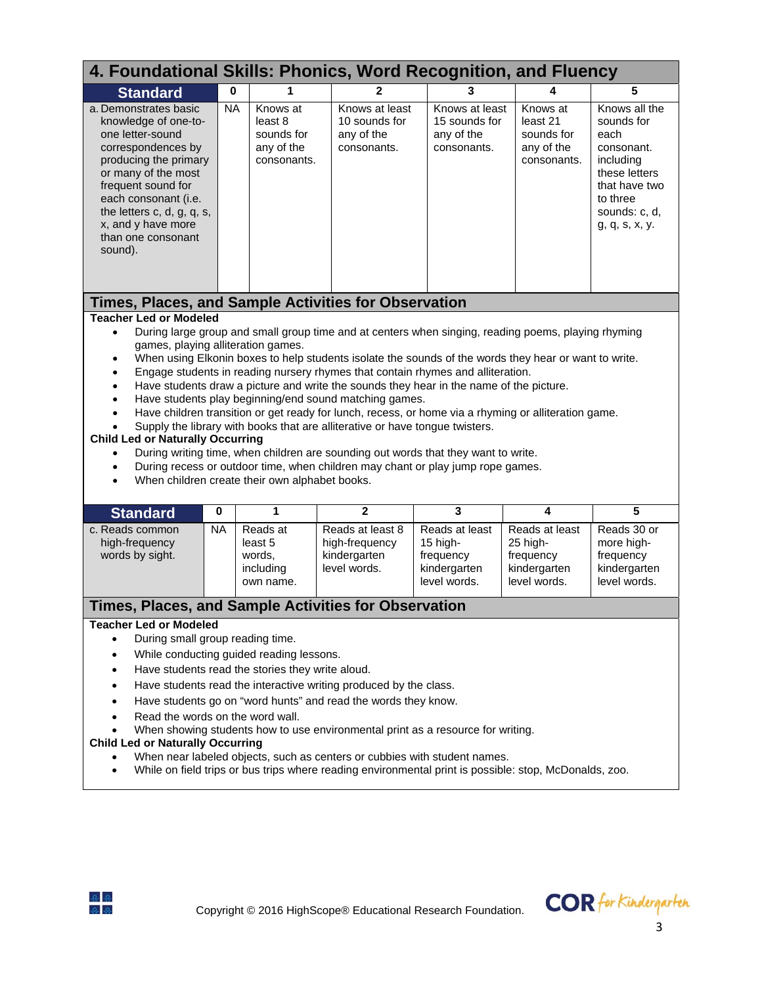| 4. Foundational Skills: Phonics, Word Recognition, and Fluency                                                                                                                                                                                                                                                                                                                                                                                                                                                                                                                                                                                                                                                                                                                                                                                                                                                                                                                                                                                                                                                                                                 |             |                                                                |                                                                    |                                                                         |                                                                         |                                                                                                                                                 |  |  |
|----------------------------------------------------------------------------------------------------------------------------------------------------------------------------------------------------------------------------------------------------------------------------------------------------------------------------------------------------------------------------------------------------------------------------------------------------------------------------------------------------------------------------------------------------------------------------------------------------------------------------------------------------------------------------------------------------------------------------------------------------------------------------------------------------------------------------------------------------------------------------------------------------------------------------------------------------------------------------------------------------------------------------------------------------------------------------------------------------------------------------------------------------------------|-------------|----------------------------------------------------------------|--------------------------------------------------------------------|-------------------------------------------------------------------------|-------------------------------------------------------------------------|-------------------------------------------------------------------------------------------------------------------------------------------------|--|--|
| <b>Standard</b>                                                                                                                                                                                                                                                                                                                                                                                                                                                                                                                                                                                                                                                                                                                                                                                                                                                                                                                                                                                                                                                                                                                                                | $\mathbf 0$ |                                                                | 2                                                                  | 3                                                                       |                                                                         | 5                                                                                                                                               |  |  |
| a. Demonstrates basic<br>knowledge of one-to-<br>one letter-sound<br>correspondences by<br>producing the primary<br>or many of the most<br>frequent sound for<br>each consonant (i.e.<br>the letters c, d, g, q, s,<br>x, and y have more<br>than one consonant<br>sound).                                                                                                                                                                                                                                                                                                                                                                                                                                                                                                                                                                                                                                                                                                                                                                                                                                                                                     | <b>NA</b>   | Knows at<br>least 8<br>sounds for<br>any of the<br>consonants. | Knows at least<br>10 sounds for<br>any of the<br>consonants.       | Knows at least<br>15 sounds for<br>any of the<br>consonants.            | Knows at<br>least 21<br>sounds for<br>any of the<br>consonants.         | Knows all the<br>sounds for<br>each<br>consonant.<br>including<br>these letters<br>that have two<br>to three<br>sounds: c, d,<br>g, q, s, x, y. |  |  |
|                                                                                                                                                                                                                                                                                                                                                                                                                                                                                                                                                                                                                                                                                                                                                                                                                                                                                                                                                                                                                                                                                                                                                                |             |                                                                |                                                                    |                                                                         |                                                                         |                                                                                                                                                 |  |  |
| Times, Places, and Sample Activities for Observation<br><b>Teacher Led or Modeled</b><br>During large group and small group time and at centers when singing, reading poems, playing rhyming<br>$\bullet$<br>games, playing alliteration games.<br>When using Elkonin boxes to help students isolate the sounds of the words they hear or want to write.<br>$\bullet$<br>Engage students in reading nursery rhymes that contain rhymes and alliteration.<br>$\bullet$<br>Have students draw a picture and write the sounds they hear in the name of the picture.<br>$\bullet$<br>Have students play beginning/end sound matching games.<br>$\bullet$<br>Have children transition or get ready for lunch, recess, or home via a rhyming or alliteration game.<br>$\bullet$<br>Supply the library with books that are alliterative or have tongue twisters.<br><b>Child Led or Naturally Occurring</b><br>During writing time, when children are sounding out words that they want to write.<br>$\bullet$<br>During recess or outdoor time, when children may chant or play jump rope games.<br>٠<br>When children create their own alphabet books.<br>$\bullet$ |             |                                                                |                                                                    |                                                                         |                                                                         |                                                                                                                                                 |  |  |
| <b>Standard</b>                                                                                                                                                                                                                                                                                                                                                                                                                                                                                                                                                                                                                                                                                                                                                                                                                                                                                                                                                                                                                                                                                                                                                | $\bf{0}$    | 1                                                              | $\mathbf{2}$                                                       | 3                                                                       | 4                                                                       | 5                                                                                                                                               |  |  |
| c. Reads common<br>high-frequency<br>words by sight.                                                                                                                                                                                                                                                                                                                                                                                                                                                                                                                                                                                                                                                                                                                                                                                                                                                                                                                                                                                                                                                                                                           | <b>NA</b>   | Reads at<br>least 5<br>words,<br>including<br>own name.        | Reads at least 8<br>high-frequency<br>kindergarten<br>level words. | Reads at least<br>15 high-<br>frequency<br>kindergarten<br>level words. | Reads at least<br>25 high-<br>frequency<br>kindergarten<br>level words. | Reads 30 or<br>more high-<br>frequency<br>kindergarten<br>level words.                                                                          |  |  |
|                                                                                                                                                                                                                                                                                                                                                                                                                                                                                                                                                                                                                                                                                                                                                                                                                                                                                                                                                                                                                                                                                                                                                                |             |                                                                |                                                                    |                                                                         |                                                                         |                                                                                                                                                 |  |  |
| Times, Places, and Sample Activities for Observation<br><b>Teacher Led or Modeled</b><br>During small group reading time.<br>While conducting guided reading lessons.<br>$\bullet$<br>Have students read the stories they write aloud.<br>٠<br>Have students read the interactive writing produced by the class.<br>٠<br>Have students go on "word hunts" and read the words they know.<br>$\bullet$<br>Read the words on the word wall.<br>When showing students how to use environmental print as a resource for writing.<br><b>Child Led or Naturally Occurring</b>                                                                                                                                                                                                                                                                                                                                                                                                                                                                                                                                                                                         |             |                                                                |                                                                    |                                                                         |                                                                         |                                                                                                                                                 |  |  |

While on field trips or bus trips where reading environmental print is possible: stop, McDonalds, zoo.

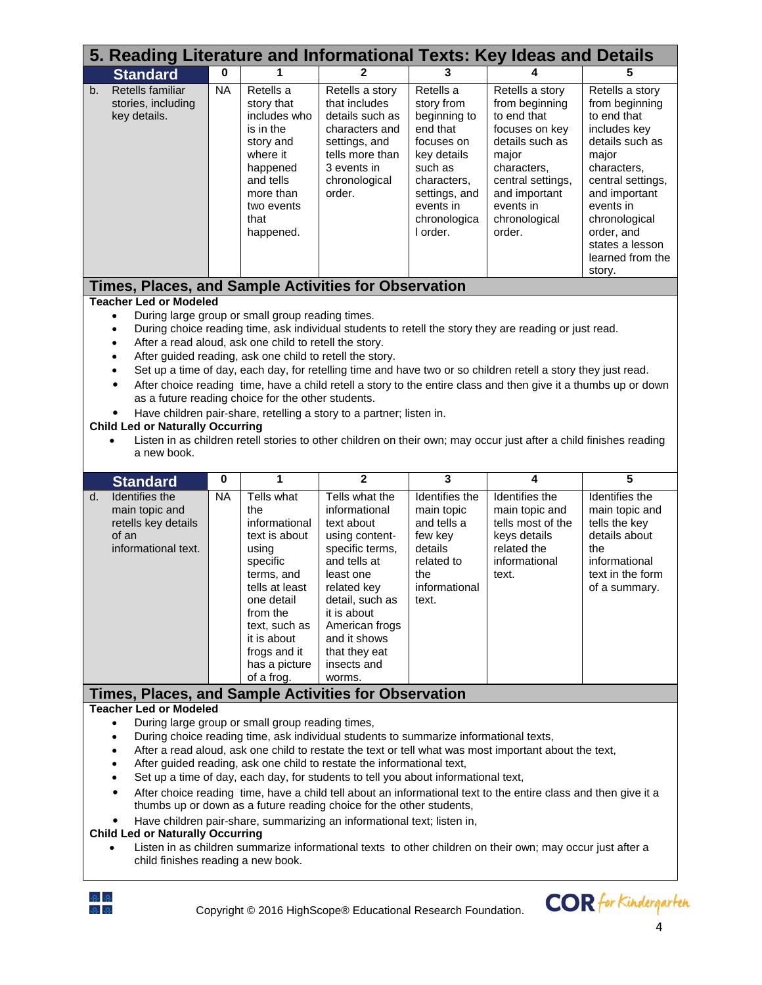|    | 5. Reading Literature and Informational Texts: Key Ideas and Details                                                                                                                                                                                                                                                                                                                                                                                                                                                                                                                                                                                                                                                                                                                                                                                                                                                                              |           |                                                                                                                                                                                                                   |                                                                                                                                                                                                                                              |                                                                                                                                                                      |                                                                                                                                                                                             |                                                                                                                                                                                                                                                |  |  |  |
|----|---------------------------------------------------------------------------------------------------------------------------------------------------------------------------------------------------------------------------------------------------------------------------------------------------------------------------------------------------------------------------------------------------------------------------------------------------------------------------------------------------------------------------------------------------------------------------------------------------------------------------------------------------------------------------------------------------------------------------------------------------------------------------------------------------------------------------------------------------------------------------------------------------------------------------------------------------|-----------|-------------------------------------------------------------------------------------------------------------------------------------------------------------------------------------------------------------------|----------------------------------------------------------------------------------------------------------------------------------------------------------------------------------------------------------------------------------------------|----------------------------------------------------------------------------------------------------------------------------------------------------------------------|---------------------------------------------------------------------------------------------------------------------------------------------------------------------------------------------|------------------------------------------------------------------------------------------------------------------------------------------------------------------------------------------------------------------------------------------------|--|--|--|
|    | <b>Standard</b>                                                                                                                                                                                                                                                                                                                                                                                                                                                                                                                                                                                                                                                                                                                                                                                                                                                                                                                                   | 0         |                                                                                                                                                                                                                   | 2                                                                                                                                                                                                                                            | 3                                                                                                                                                                    |                                                                                                                                                                                             | 5                                                                                                                                                                                                                                              |  |  |  |
| b. | Retells familiar<br>stories, including<br>key details.                                                                                                                                                                                                                                                                                                                                                                                                                                                                                                                                                                                                                                                                                                                                                                                                                                                                                            | <b>NA</b> | Retells a<br>story that<br>includes who<br>is in the<br>story and<br>where it<br>happened<br>and tells<br>more than<br>two events<br>that<br>happened.                                                            | Retells a story<br>that includes<br>details such as<br>characters and<br>settings, and<br>tells more than<br>3 events in<br>chronological<br>order.                                                                                          | Retells a<br>story from<br>beginning to<br>end that<br>focuses on<br>key details<br>such as<br>characters.<br>settings, and<br>events in<br>chronologica<br>I order. | Retells a story<br>from beginning<br>to end that<br>focuses on key<br>details such as<br>major<br>characters,<br>central settings,<br>and important<br>events in<br>chronological<br>order. | Retells a story<br>from beginning<br>to end that<br>includes key<br>details such as<br>major<br>characters,<br>central settings,<br>and important<br>events in<br>chronological<br>order, and<br>states a lesson<br>learned from the<br>story. |  |  |  |
|    | Times, Places, and Sample Activities for Observation                                                                                                                                                                                                                                                                                                                                                                                                                                                                                                                                                                                                                                                                                                                                                                                                                                                                                              |           |                                                                                                                                                                                                                   |                                                                                                                                                                                                                                              |                                                                                                                                                                      |                                                                                                                                                                                             |                                                                                                                                                                                                                                                |  |  |  |
|    | <b>Teacher Led or Modeled</b><br>During large group or small group reading times.<br>$\bullet$<br>During choice reading time, ask individual students to retell the story they are reading or just read.<br>$\bullet$<br>After a read aloud, ask one child to retell the story.<br>$\bullet$<br>After guided reading, ask one child to retell the story.<br>$\bullet$<br>Set up a time of day, each day, for retelling time and have two or so children retell a story they just read.<br>$\bullet$<br>After choice reading time, have a child retell a story to the entire class and then give it a thumbs up or down<br>$\bullet$<br>as a future reading choice for the other students.<br>Have children pair-share, retelling a story to a partner; listen in.<br><b>Child Led or Naturally Occurring</b><br>Listen in as children retell stories to other children on their own; may occur just after a child finishes reading<br>a new book. |           |                                                                                                                                                                                                                   |                                                                                                                                                                                                                                              |                                                                                                                                                                      |                                                                                                                                                                                             |                                                                                                                                                                                                                                                |  |  |  |
|    | <b>Standard</b>                                                                                                                                                                                                                                                                                                                                                                                                                                                                                                                                                                                                                                                                                                                                                                                                                                                                                                                                   | $\bf{0}$  | 1                                                                                                                                                                                                                 | $\overline{2}$                                                                                                                                                                                                                               | 3                                                                                                                                                                    | 4                                                                                                                                                                                           | 5                                                                                                                                                                                                                                              |  |  |  |
| d. | Identifies the<br>main topic and<br>retells key details<br>of an<br>informational text.                                                                                                                                                                                                                                                                                                                                                                                                                                                                                                                                                                                                                                                                                                                                                                                                                                                           | <b>NA</b> | Tells what<br>the<br>informational<br>text is about<br>using<br>specific<br>terms, and<br>tells at least<br>one detail<br>from the<br>text, such as<br>it is about<br>frogs and it<br>has a picture<br>of a frog. | Tells what the<br>informational<br>text about<br>using content-<br>specific terms,<br>and tells at<br>least one<br>related key<br>detail, such as<br>it is about<br>American frogs<br>and it shows<br>that they eat<br>insects and<br>worms. | Identifies the<br>main topic<br>and tells a<br>few key<br>details<br>related to<br>the<br>informational<br>text.                                                     | Identifies the<br>main topic and<br>tells most of the<br>keys details<br>related the<br>informational<br>text.                                                                              | Identifies the<br>main topic and<br>tells the key<br>details about<br>the<br>informational<br>text in the form<br>of a summary.                                                                                                                |  |  |  |
|    |                                                                                                                                                                                                                                                                                                                                                                                                                                                                                                                                                                                                                                                                                                                                                                                                                                                                                                                                                   |           |                                                                                                                                                                                                                   |                                                                                                                                                                                                                                              |                                                                                                                                                                      |                                                                                                                                                                                             |                                                                                                                                                                                                                                                |  |  |  |
|    | Times, Places, and Sample Activities for Observation<br><b>Teacher Led or Modeled</b><br>During large group or small group reading times,<br>$\bullet$<br>During choice reading time, ask individual students to summarize informational texts,<br>٠<br>After a read aloud, ask one child to restate the text or tell what was most important about the text,<br>٠<br>After guided reading, ask one child to restate the informational text,<br>Set up a time of day, each day, for students to tell you about informational text,<br>After choice reading time, have a child tell about an informational text to the entire class and then give it a<br>thumbs up or down as a future reading choice for the other students,<br>Have children pair-share, summarizing an informational text; listen in,<br><b>Child Led or Naturally Occurring</b>                                                                                               |           |                                                                                                                                                                                                                   |                                                                                                                                                                                                                                              |                                                                                                                                                                      |                                                                                                                                                                                             |                                                                                                                                                                                                                                                |  |  |  |

 Listen in as children summarize informational texts to other children on their own; may occur just after a child finishes reading a new book.

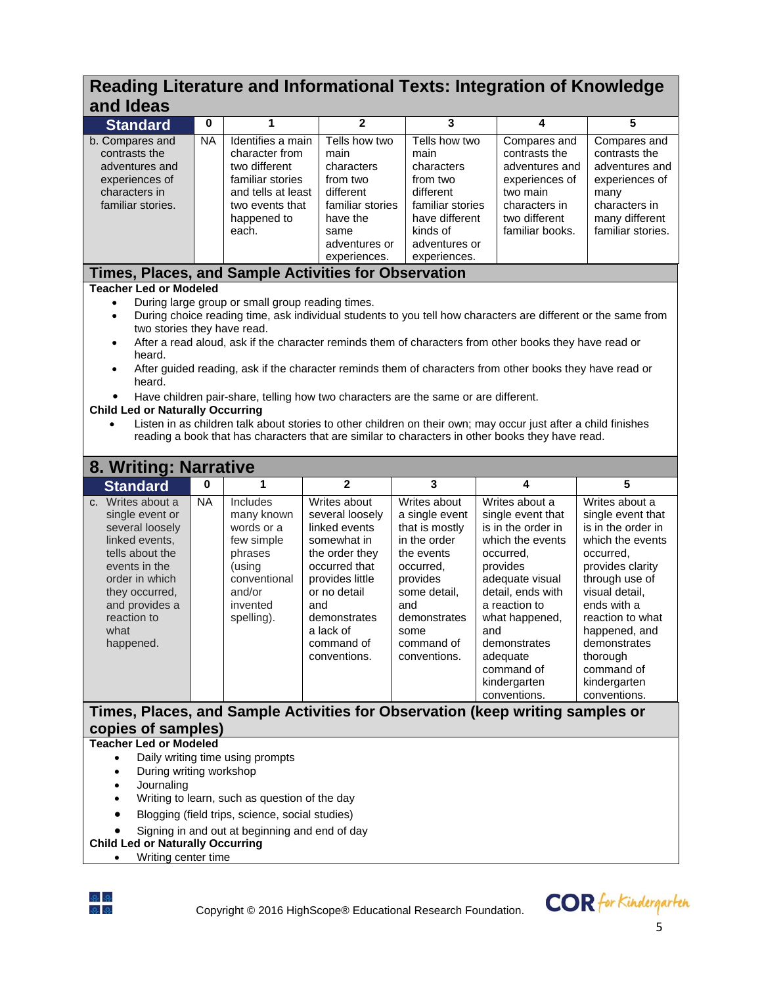# **Reading Literature and Informational Texts: Integration of Knowledge and Ideas**

| anu lueas                                                                                                                                                                                                                                                                                                                                                                                                                                                                                                                                                                                                                                                                                                                                                                                                                                                                                                 |                                                                               |                                                                                                                                           |                                                                                                                                                                                                         |                                                                                                                                                                                      |                                                                                                                                                                                                                                                                    |                                                                                                                                                                                                                                                                                  |  |  |
|-----------------------------------------------------------------------------------------------------------------------------------------------------------------------------------------------------------------------------------------------------------------------------------------------------------------------------------------------------------------------------------------------------------------------------------------------------------------------------------------------------------------------------------------------------------------------------------------------------------------------------------------------------------------------------------------------------------------------------------------------------------------------------------------------------------------------------------------------------------------------------------------------------------|-------------------------------------------------------------------------------|-------------------------------------------------------------------------------------------------------------------------------------------|---------------------------------------------------------------------------------------------------------------------------------------------------------------------------------------------------------|--------------------------------------------------------------------------------------------------------------------------------------------------------------------------------------|--------------------------------------------------------------------------------------------------------------------------------------------------------------------------------------------------------------------------------------------------------------------|----------------------------------------------------------------------------------------------------------------------------------------------------------------------------------------------------------------------------------------------------------------------------------|--|--|
| <b>Standard</b>                                                                                                                                                                                                                                                                                                                                                                                                                                                                                                                                                                                                                                                                                                                                                                                                                                                                                           | 0                                                                             | 1                                                                                                                                         | $\mathbf{2}$                                                                                                                                                                                            | 3                                                                                                                                                                                    | 4                                                                                                                                                                                                                                                                  | 5                                                                                                                                                                                                                                                                                |  |  |
| b. Compares and<br>contrasts the<br>adventures and<br>experiences of<br>characters in<br>familiar stories.                                                                                                                                                                                                                                                                                                                                                                                                                                                                                                                                                                                                                                                                                                                                                                                                | <b>NA</b>                                                                     | Identifies a main<br>character from<br>two different<br>familiar stories<br>and tells at least<br>two events that<br>happened to<br>each. | Tells how two<br>main<br>characters<br>from two<br>different<br>familiar stories<br>have the<br>same<br>adventures or<br>experiences.                                                                   | Tells how two<br>main<br>characters<br>from two<br>different<br>familiar stories<br>have different<br>kinds of<br>adventures or<br>experiences.                                      | Compares and<br>contrasts the<br>adventures and<br>experiences of<br>two main<br>characters in<br>two different<br>familiar books.                                                                                                                                 | Compares and<br>contrasts the<br>adventures and<br>experiences of<br>many<br>characters in<br>many different<br>familiar stories.                                                                                                                                                |  |  |
| Times, Places, and Sample Activities for Observation                                                                                                                                                                                                                                                                                                                                                                                                                                                                                                                                                                                                                                                                                                                                                                                                                                                      |                                                                               |                                                                                                                                           |                                                                                                                                                                                                         |                                                                                                                                                                                      |                                                                                                                                                                                                                                                                    |                                                                                                                                                                                                                                                                                  |  |  |
| <b>Teacher Led or Modeled</b><br>During large group or small group reading times.<br>$\bullet$<br>During choice reading time, ask individual students to you tell how characters are different or the same from<br>$\bullet$<br>two stories they have read.<br>After a read aloud, ask if the character reminds them of characters from other books they have read or<br>$\bullet$<br>heard.<br>After guided reading, ask if the character reminds them of characters from other books they have read or<br>$\bullet$<br>heard.<br>Have children pair-share, telling how two characters are the same or are different.<br>٠<br><b>Child Led or Naturally Occurring</b><br>Listen in as children talk about stories to other children on their own; may occur just after a child finishes<br>$\bullet$<br>reading a book that has characters that are similar to characters in other books they have read. |                                                                               |                                                                                                                                           |                                                                                                                                                                                                         |                                                                                                                                                                                      |                                                                                                                                                                                                                                                                    |                                                                                                                                                                                                                                                                                  |  |  |
| 8. Writing: Narrative                                                                                                                                                                                                                                                                                                                                                                                                                                                                                                                                                                                                                                                                                                                                                                                                                                                                                     |                                                                               |                                                                                                                                           |                                                                                                                                                                                                         |                                                                                                                                                                                      |                                                                                                                                                                                                                                                                    |                                                                                                                                                                                                                                                                                  |  |  |
| <b>Standard</b>                                                                                                                                                                                                                                                                                                                                                                                                                                                                                                                                                                                                                                                                                                                                                                                                                                                                                           | 0                                                                             | 1                                                                                                                                         | $\overline{2}$                                                                                                                                                                                          | 3                                                                                                                                                                                    | 4                                                                                                                                                                                                                                                                  | 5                                                                                                                                                                                                                                                                                |  |  |
| c. Writes about a<br>single event or<br>several loosely<br>linked events,<br>tells about the<br>events in the<br>order in which<br>they occurred,<br>and provides a<br>reaction to<br>what<br>happened.                                                                                                                                                                                                                                                                                                                                                                                                                                                                                                                                                                                                                                                                                                   | <b>NA</b>                                                                     | Includes<br>many known<br>words or a<br>few simple<br>phrases<br>(using<br>conventional<br>and/or<br>invented<br>spelling).               | Writes about<br>several loosely<br>linked events<br>somewhat in<br>the order they<br>occurred that<br>provides little<br>or no detail<br>and<br>demonstrates<br>a lack of<br>command of<br>conventions. | Writes about<br>a single event<br>that is mostly<br>in the order<br>the events<br>occurred,<br>provides<br>some detail,<br>and<br>demonstrates<br>some<br>command of<br>conventions. | Writes about a<br>single event that<br>is in the order in<br>which the events<br>occurred,<br>provides<br>adequate visual<br>detail, ends with<br>a reaction to<br>what happened,<br>and<br>demonstrates<br>adequate<br>command of<br>kindergarten<br>conventions. | Writes about a<br>single event that<br>is in the order in<br>which the events<br>occurred,<br>provides clarity<br>through use of<br>visual detail.<br>ends with a<br>reaction to what<br>happened, and<br>demonstrates<br>thorough<br>command of<br>kindergarten<br>conventions. |  |  |
|                                                                                                                                                                                                                                                                                                                                                                                                                                                                                                                                                                                                                                                                                                                                                                                                                                                                                                           | Times, Places, and Sample Activities for Observation (keep writing samples or |                                                                                                                                           |                                                                                                                                                                                                         |                                                                                                                                                                                      |                                                                                                                                                                                                                                                                    |                                                                                                                                                                                                                                                                                  |  |  |
| copies of samples)<br><b>Teacher Led or Modeled</b><br>Daily writing time using prompts                                                                                                                                                                                                                                                                                                                                                                                                                                                                                                                                                                                                                                                                                                                                                                                                                   |                                                                               |                                                                                                                                           |                                                                                                                                                                                                         |                                                                                                                                                                                      |                                                                                                                                                                                                                                                                    |                                                                                                                                                                                                                                                                                  |  |  |
|                                                                                                                                                                                                                                                                                                                                                                                                                                                                                                                                                                                                                                                                                                                                                                                                                                                                                                           |                                                                               |                                                                                                                                           |                                                                                                                                                                                                         |                                                                                                                                                                                      |                                                                                                                                                                                                                                                                    |                                                                                                                                                                                                                                                                                  |  |  |

- Journaling
- Writing to learn, such as question of the day
- Blogging (field trips, science, social studies)
- Signing in and out at beginning and end of day

### **Child Led or Naturally Occurring**

• Writing center time



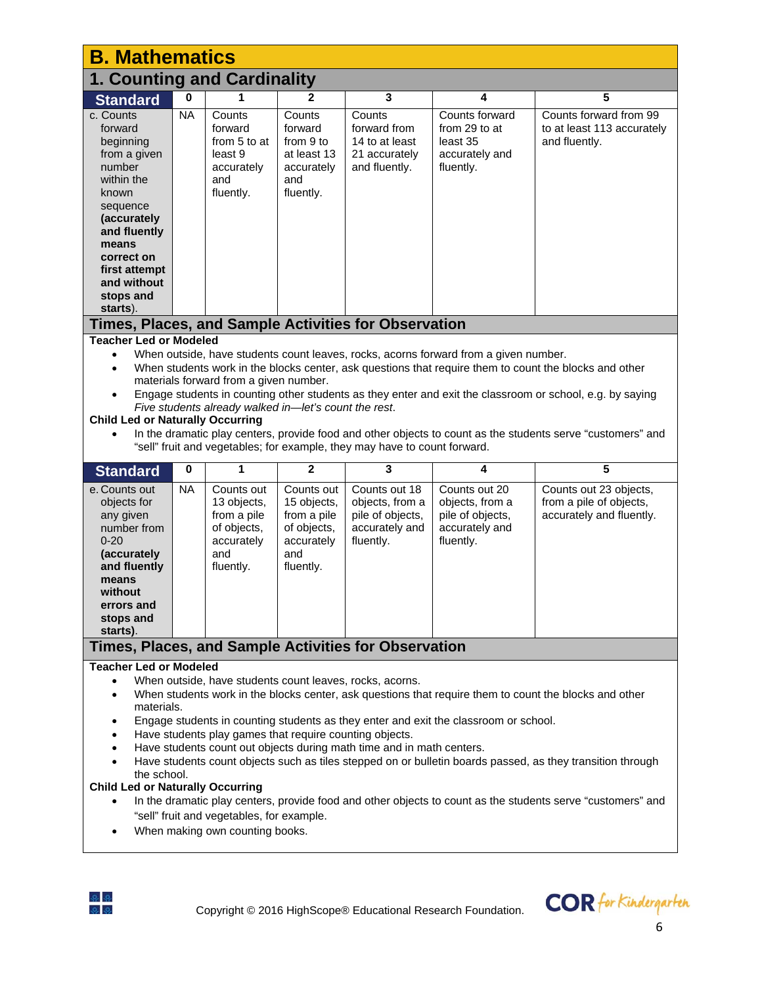| <b>B. Mathematics</b>                                                                                                                                                                                                                                                                                                                                                                                                                                                                                                                                                                                                                                                                                                                                                                                                                                                             |                                                                                                                                                                                                                                                                                                                                                                                                                                                                                                                                                                                                                                                                    |                                                                                           |                                                                                           |                                                                                     |                                                                                     |                                                                               |  |  |  |  |
|-----------------------------------------------------------------------------------------------------------------------------------------------------------------------------------------------------------------------------------------------------------------------------------------------------------------------------------------------------------------------------------------------------------------------------------------------------------------------------------------------------------------------------------------------------------------------------------------------------------------------------------------------------------------------------------------------------------------------------------------------------------------------------------------------------------------------------------------------------------------------------------|--------------------------------------------------------------------------------------------------------------------------------------------------------------------------------------------------------------------------------------------------------------------------------------------------------------------------------------------------------------------------------------------------------------------------------------------------------------------------------------------------------------------------------------------------------------------------------------------------------------------------------------------------------------------|-------------------------------------------------------------------------------------------|-------------------------------------------------------------------------------------------|-------------------------------------------------------------------------------------|-------------------------------------------------------------------------------------|-------------------------------------------------------------------------------|--|--|--|--|
| <b>1. Counting and Cardinality</b>                                                                                                                                                                                                                                                                                                                                                                                                                                                                                                                                                                                                                                                                                                                                                                                                                                                |                                                                                                                                                                                                                                                                                                                                                                                                                                                                                                                                                                                                                                                                    |                                                                                           |                                                                                           |                                                                                     |                                                                                     |                                                                               |  |  |  |  |
| <b>Standard</b>                                                                                                                                                                                                                                                                                                                                                                                                                                                                                                                                                                                                                                                                                                                                                                                                                                                                   | 0                                                                                                                                                                                                                                                                                                                                                                                                                                                                                                                                                                                                                                                                  | 1                                                                                         | $\mathbf{2}$                                                                              | 3                                                                                   | 4                                                                                   | 5                                                                             |  |  |  |  |
| c. Counts<br>forward<br>beginning<br>from a given<br>number<br>within the<br>known<br>sequence<br>(accurately<br>and fluently<br>means<br>correct on<br>first attempt<br>and without<br>stops and<br>starts).                                                                                                                                                                                                                                                                                                                                                                                                                                                                                                                                                                                                                                                                     | <b>NA</b>                                                                                                                                                                                                                                                                                                                                                                                                                                                                                                                                                                                                                                                          | Counts<br>forward<br>from 5 to at<br>least 9<br>accurately<br>and<br>fluently.            | Counts<br>forward<br>from 9 to<br>at least 13<br>accurately<br>and<br>fluently.           | Counts<br>forward from<br>14 to at least<br>21 accurately<br>and fluently.          | Counts forward<br>from 29 to at<br>least 35<br>accurately and<br>fluently.          | Counts forward from 99<br>to at least 113 accurately<br>and fluently.         |  |  |  |  |
| <b>Teacher Led or Modeled</b>                                                                                                                                                                                                                                                                                                                                                                                                                                                                                                                                                                                                                                                                                                                                                                                                                                                     |                                                                                                                                                                                                                                                                                                                                                                                                                                                                                                                                                                                                                                                                    |                                                                                           |                                                                                           | Times, Places, and Sample Activities for Observation                                |                                                                                     |                                                                               |  |  |  |  |
| $\bullet$<br>$\bullet$                                                                                                                                                                                                                                                                                                                                                                                                                                                                                                                                                                                                                                                                                                                                                                                                                                                            | When outside, have students count leaves, rocks, acorns forward from a given number.<br>$\bullet$<br>When students work in the blocks center, ask questions that require them to count the blocks and other<br>materials forward from a given number.<br>Engage students in counting other students as they enter and exit the classroom or school, e.g. by saying<br>Five students already walked in-let's count the rest.<br><b>Child Led or Naturally Occurring</b><br>In the dramatic play centers, provide food and other objects to count as the students serve "customers" and<br>"sell" fruit and vegetables; for example, they may have to count forward. |                                                                                           |                                                                                           |                                                                                     |                                                                                     |                                                                               |  |  |  |  |
| <b>Standard</b>                                                                                                                                                                                                                                                                                                                                                                                                                                                                                                                                                                                                                                                                                                                                                                                                                                                                   | $\bf{0}$                                                                                                                                                                                                                                                                                                                                                                                                                                                                                                                                                                                                                                                           | 1                                                                                         | $\mathbf{2}$                                                                              | 3                                                                                   | 4                                                                                   | $\overline{5}$                                                                |  |  |  |  |
| e. Counts out<br>objects for<br>any given<br>number from<br>$0 - 20$<br>(accurately<br>and fluently<br>means<br>without<br>errors and<br>stops and<br>starts).                                                                                                                                                                                                                                                                                                                                                                                                                                                                                                                                                                                                                                                                                                                    | <b>NA</b>                                                                                                                                                                                                                                                                                                                                                                                                                                                                                                                                                                                                                                                          | Counts out<br>13 objects,<br>from a pile<br>of objects,<br>accurately<br>and<br>fluently. | Counts out<br>15 objects,<br>from a pile<br>of objects,<br>accurately<br>and<br>fluently. | Counts out 18<br>objects, from a<br>pile of objects,<br>accurately and<br>fluently. | Counts out 20<br>objects, from a<br>pile of objects,<br>accurately and<br>fluently. | Counts out 23 objects,<br>from a pile of objects,<br>accurately and fluently. |  |  |  |  |
|                                                                                                                                                                                                                                                                                                                                                                                                                                                                                                                                                                                                                                                                                                                                                                                                                                                                                   |                                                                                                                                                                                                                                                                                                                                                                                                                                                                                                                                                                                                                                                                    |                                                                                           |                                                                                           |                                                                                     |                                                                                     |                                                                               |  |  |  |  |
| Times, Places, and Sample Activities for Observation<br><b>Teacher Led or Modeled</b><br>When outside, have students count leaves, rocks, acorns.<br>When students work in the blocks center, ask questions that require them to count the blocks and other<br>٠<br>materials.<br>Engage students in counting students as they enter and exit the classroom or school.<br>Have students play games that require counting objects.<br>Have students count out objects during math time and in math centers.<br>Have students count objects such as tiles stepped on or bulletin boards passed, as they transition through<br>the school.<br><b>Child Led or Naturally Occurring</b><br>In the dramatic play centers, provide food and other objects to count as the students serve "customers" and<br>"sell" fruit and vegetables, for example.<br>When making own counting books. |                                                                                                                                                                                                                                                                                                                                                                                                                                                                                                                                                                                                                                                                    |                                                                                           |                                                                                           |                                                                                     |                                                                                     |                                                                               |  |  |  |  |

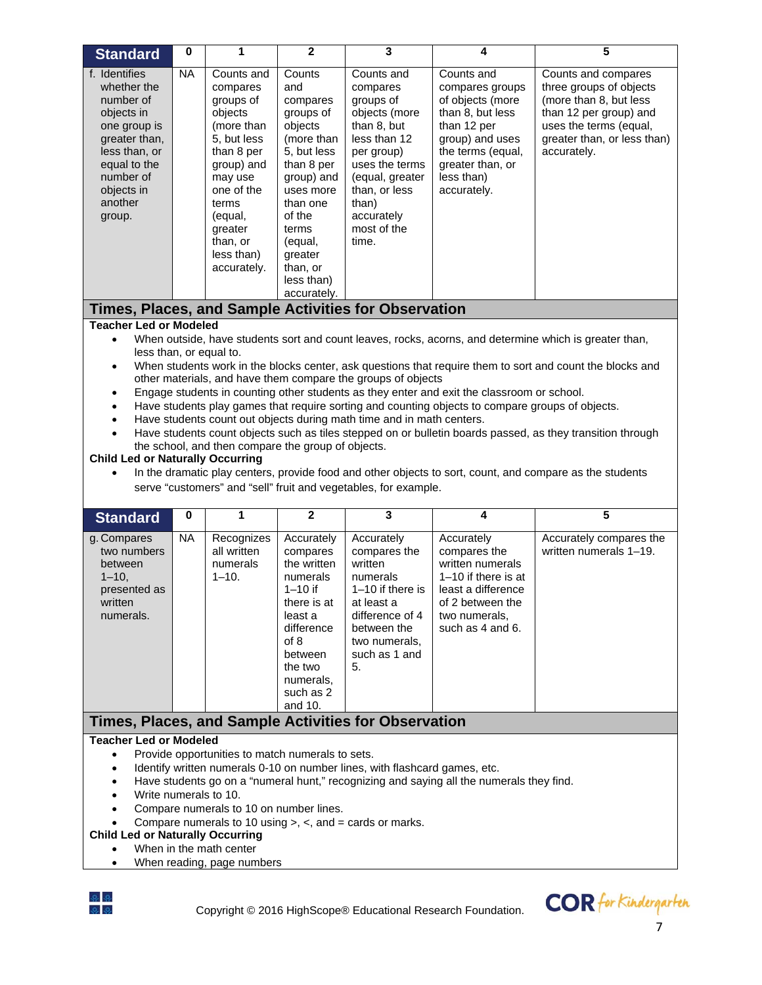| <b>Standard</b>                                                                                                                                                                                                                                                                                                                                                                                                                                                                                                                                                                                                                                                                                                                                                                                                                                                                                                                                                                                                                                                                    | 0         | 1                                                                                                                                                                                                        | $\mathbf{2}$                                                                                                                                                                                           | 3                                                                                                                                                                                                      | 4                                                                                                                                                                             | 5                                                                                                                                                                          |  |  |  |
|------------------------------------------------------------------------------------------------------------------------------------------------------------------------------------------------------------------------------------------------------------------------------------------------------------------------------------------------------------------------------------------------------------------------------------------------------------------------------------------------------------------------------------------------------------------------------------------------------------------------------------------------------------------------------------------------------------------------------------------------------------------------------------------------------------------------------------------------------------------------------------------------------------------------------------------------------------------------------------------------------------------------------------------------------------------------------------|-----------|----------------------------------------------------------------------------------------------------------------------------------------------------------------------------------------------------------|--------------------------------------------------------------------------------------------------------------------------------------------------------------------------------------------------------|--------------------------------------------------------------------------------------------------------------------------------------------------------------------------------------------------------|-------------------------------------------------------------------------------------------------------------------------------------------------------------------------------|----------------------------------------------------------------------------------------------------------------------------------------------------------------------------|--|--|--|
| f. Identifies<br>whether the<br>number of<br>objects in<br>one group is<br>greater than,<br>less than, or<br>equal to the<br>number of<br>objects in<br>another<br>group.                                                                                                                                                                                                                                                                                                                                                                                                                                                                                                                                                                                                                                                                                                                                                                                                                                                                                                          | <b>NA</b> | Counts and<br>compares<br>groups of<br>objects<br>(more than<br>5, but less<br>than 8 per<br>group) and<br>may use<br>one of the<br>terms<br>(equal,<br>greater<br>than, or<br>less than)<br>accurately. | Counts<br>and<br>compares<br>groups of<br>objects<br>(more than<br>5, but less<br>than 8 per<br>group) and<br>uses more<br>than one<br>of the<br>terms<br>(equal,<br>greater<br>than, or<br>less than) | Counts and<br>compares<br>groups of<br>objects (more<br>than 8, but<br>less than 12<br>per group)<br>uses the terms<br>(equal, greater<br>than, or less<br>than)<br>accurately<br>most of the<br>time. | Counts and<br>compares groups<br>of objects (more<br>than 8, but less<br>than 12 per<br>group) and uses<br>the terms (equal,<br>greater than, or<br>less than)<br>accurately. | Counts and compares<br>three groups of objects<br>(more than 8, but less<br>than 12 per group) and<br>uses the terms (equal,<br>greater than, or less than)<br>accurately. |  |  |  |
|                                                                                                                                                                                                                                                                                                                                                                                                                                                                                                                                                                                                                                                                                                                                                                                                                                                                                                                                                                                                                                                                                    |           |                                                                                                                                                                                                          | accurately.                                                                                                                                                                                            | Times, Places, and Sample Activities for Observation                                                                                                                                                   |                                                                                                                                                                               |                                                                                                                                                                            |  |  |  |
| <b>Teacher Led or Modeled</b>                                                                                                                                                                                                                                                                                                                                                                                                                                                                                                                                                                                                                                                                                                                                                                                                                                                                                                                                                                                                                                                      |           |                                                                                                                                                                                                          |                                                                                                                                                                                                        |                                                                                                                                                                                                        |                                                                                                                                                                               |                                                                                                                                                                            |  |  |  |
| When outside, have students sort and count leaves, rocks, acorns, and determine which is greater than,<br>$\bullet$<br>less than, or equal to.<br>When students work in the blocks center, ask questions that require them to sort and count the blocks and<br>$\bullet$<br>other materials, and have them compare the groups of objects<br>Engage students in counting other students as they enter and exit the classroom or school.<br>$\bullet$<br>Have students play games that require sorting and counting objects to compare groups of objects.<br>$\bullet$<br>Have students count out objects during math time and in math centers.<br>$\bullet$<br>Have students count objects such as tiles stepped on or bulletin boards passed, as they transition through<br>$\bullet$<br>the school, and then compare the group of objects.<br><b>Child Led or Naturally Occurring</b><br>In the dramatic play centers, provide food and other objects to sort, count, and compare as the students<br>$\bullet$<br>serve "customers" and "sell" fruit and vegetables, for example. |           |                                                                                                                                                                                                          |                                                                                                                                                                                                        |                                                                                                                                                                                                        |                                                                                                                                                                               |                                                                                                                                                                            |  |  |  |
| <b>Standard</b>                                                                                                                                                                                                                                                                                                                                                                                                                                                                                                                                                                                                                                                                                                                                                                                                                                                                                                                                                                                                                                                                    | 0         | 1                                                                                                                                                                                                        | $\mathbf{2}$                                                                                                                                                                                           | $\mathbf{3}$                                                                                                                                                                                           | 4                                                                                                                                                                             | $\overline{\mathbf{5}}$                                                                                                                                                    |  |  |  |
| g. Compares<br>two numbers<br>between<br>$1 - 10,$<br>presented as<br>written<br>numerals.                                                                                                                                                                                                                                                                                                                                                                                                                                                                                                                                                                                                                                                                                                                                                                                                                                                                                                                                                                                         | <b>NA</b> | Recognizes<br>all written<br>numerals<br>$1 - 10.$                                                                                                                                                       | Accurately<br>compares<br>the written<br>numerals<br>$1 - 10$ if<br>there is at<br>least a<br>difference<br>of 8<br>between<br>the two<br>numerals,<br>such as 2<br>and 10.                            | Accurately<br>compares the<br>written<br>numerals<br>1-10 if there is<br>at least a<br>difference of 4<br>between the<br>two numerals.<br>such as 1 and<br>5.                                          | Accurately<br>compares the<br>written numerals<br>1-10 if there is at<br>least a difference<br>of 2 between the<br>two numerals,<br>such as 4 and 6.                          | Accurately compares the<br>written numerals 1-19.                                                                                                                          |  |  |  |
|                                                                                                                                                                                                                                                                                                                                                                                                                                                                                                                                                                                                                                                                                                                                                                                                                                                                                                                                                                                                                                                                                    |           |                                                                                                                                                                                                          |                                                                                                                                                                                                        | Times, Places, and Sample Activities for Observation                                                                                                                                                   |                                                                                                                                                                               |                                                                                                                                                                            |  |  |  |
| <b>Teacher Led or Modeled</b><br>Provide opportunities to match numerals to sets.<br>$\bullet$<br>Identify written numerals 0-10 on number lines, with flashcard games, etc.<br>٠<br>Have students go on a "numeral hunt," recognizing and saying all the numerals they find.<br>Write numerals to 10.<br>Compare numerals to 10 on number lines.<br>Compare numerals to 10 using $>$ , $\lt$ , and $=$ cards or marks.<br><b>Child Led or Naturally Occurring</b><br>When in the math center<br>When reading, page numbers                                                                                                                                                                                                                                                                                                                                                                                                                                                                                                                                                        |           |                                                                                                                                                                                                          |                                                                                                                                                                                                        |                                                                                                                                                                                                        |                                                                                                                                                                               |                                                                                                                                                                            |  |  |  |



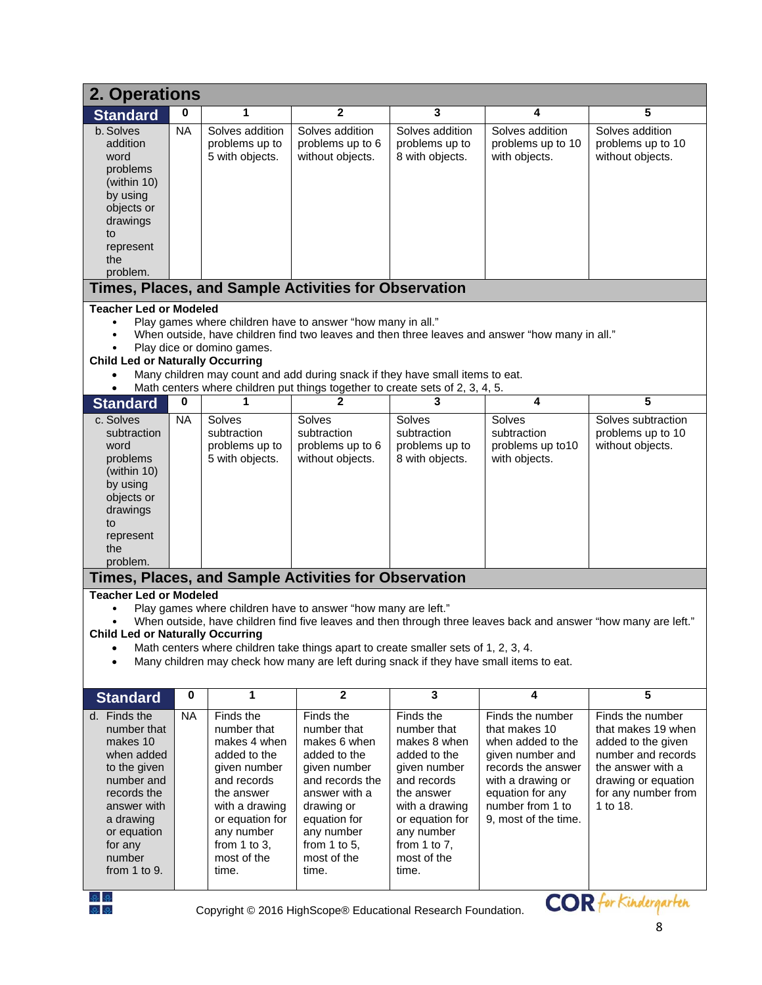| 2. Operations                                                                                                                                                                                                                                                                                                                                                                                                                              |           |                                                                                                                                                                                                  |                                                                                                                                                                                                                                                 |                                                                                                                                                                                                     |                                                                                                                                                                                       |                                                                                                                                                                   |  |  |  |  |  |
|--------------------------------------------------------------------------------------------------------------------------------------------------------------------------------------------------------------------------------------------------------------------------------------------------------------------------------------------------------------------------------------------------------------------------------------------|-----------|--------------------------------------------------------------------------------------------------------------------------------------------------------------------------------------------------|-------------------------------------------------------------------------------------------------------------------------------------------------------------------------------------------------------------------------------------------------|-----------------------------------------------------------------------------------------------------------------------------------------------------------------------------------------------------|---------------------------------------------------------------------------------------------------------------------------------------------------------------------------------------|-------------------------------------------------------------------------------------------------------------------------------------------------------------------|--|--|--|--|--|
| <b>Standard</b>                                                                                                                                                                                                                                                                                                                                                                                                                            | 0         | 1                                                                                                                                                                                                | 2                                                                                                                                                                                                                                               | 3                                                                                                                                                                                                   | 4                                                                                                                                                                                     | 5                                                                                                                                                                 |  |  |  |  |  |
| b. Solves<br>addition<br>word<br>problems<br>(within 10)<br>by using<br>objects or<br>drawings<br>to<br>represent<br>the<br>problem.                                                                                                                                                                                                                                                                                                       | <b>NA</b> | Solves addition<br>problems up to<br>5 with objects.                                                                                                                                             | Solves addition<br>problems up to 6<br>without objects.                                                                                                                                                                                         | Solves addition<br>problems up to<br>8 with objects.                                                                                                                                                | Solves addition<br>problems up to 10<br>with objects.                                                                                                                                 | Solves addition<br>problems up to 10<br>without objects.                                                                                                          |  |  |  |  |  |
| Times, Places, and Sample Activities for Observation                                                                                                                                                                                                                                                                                                                                                                                       |           |                                                                                                                                                                                                  |                                                                                                                                                                                                                                                 |                                                                                                                                                                                                     |                                                                                                                                                                                       |                                                                                                                                                                   |  |  |  |  |  |
| <b>Teacher Led or Modeled</b><br>Play games where children have to answer "how many in all."<br>When outside, have children find two leaves and then three leaves and answer "how many in all."<br>Play dice or domino games.<br><b>Child Led or Naturally Occurring</b><br>Many children may count and add during snack if they have small items to eat.<br>Math centers where children put things together to create sets of 2, 3, 4, 5. |           |                                                                                                                                                                                                  |                                                                                                                                                                                                                                                 |                                                                                                                                                                                                     |                                                                                                                                                                                       |                                                                                                                                                                   |  |  |  |  |  |
| <b>Standard</b>                                                                                                                                                                                                                                                                                                                                                                                                                            | 0         | 1                                                                                                                                                                                                |                                                                                                                                                                                                                                                 | 3                                                                                                                                                                                                   | 4                                                                                                                                                                                     | 5                                                                                                                                                                 |  |  |  |  |  |
| c. Solves<br>subtraction<br>word<br>problems<br>(within 10)<br>by using<br>objects or<br>drawings<br>to<br>represent<br>the<br>problem.                                                                                                                                                                                                                                                                                                    | <b>NA</b> | Solves<br>subtraction<br>problems up to<br>5 with objects.                                                                                                                                       | Solves<br>subtraction<br>problems up to 6<br>without objects.                                                                                                                                                                                   | Solves<br>subtraction<br>problems up to<br>8 with objects.                                                                                                                                          | Solves<br>subtraction<br>problems up to 10<br>with objects.                                                                                                                           | Solves subtraction<br>problems up to 10<br>without objects.                                                                                                       |  |  |  |  |  |
|                                                                                                                                                                                                                                                                                                                                                                                                                                            |           |                                                                                                                                                                                                  | Times, Places, and Sample Activities for Observation                                                                                                                                                                                            |                                                                                                                                                                                                     |                                                                                                                                                                                       |                                                                                                                                                                   |  |  |  |  |  |
| <b>Teacher Led or Modeled</b><br><b>Child Led or Naturally Occurring</b>                                                                                                                                                                                                                                                                                                                                                                   |           |                                                                                                                                                                                                  | Play games where children have to answer "how many are left."<br>Math centers where children take things apart to create smaller sets of 1, 2, 3, 4.<br>Many children may check how many are left during snack if they have small items to eat. |                                                                                                                                                                                                     |                                                                                                                                                                                       | When outside, have children find five leaves and then through three leaves back and answer "how many are left."                                                   |  |  |  |  |  |
| <b>Standard</b>                                                                                                                                                                                                                                                                                                                                                                                                                            | 0         | 1                                                                                                                                                                                                | $\mathbf{2}$                                                                                                                                                                                                                                    | 3                                                                                                                                                                                                   | 4                                                                                                                                                                                     | 5                                                                                                                                                                 |  |  |  |  |  |
| d. Finds the<br>number that<br>makes 10<br>when added<br>to the given<br>number and<br>records the<br>answer with<br>a drawing<br>or equation<br>for any<br>number<br>from 1 to 9.                                                                                                                                                                                                                                                         | <b>NA</b> | Finds the<br>number that<br>makes 4 when<br>added to the<br>given number<br>and records<br>the answer<br>with a drawing<br>or equation for<br>any number<br>from 1 to 3,<br>most of the<br>time. | Finds the<br>number that<br>makes 6 when<br>added to the<br>given number<br>and records the<br>answer with a<br>drawing or<br>equation for<br>any number<br>from 1 to 5,<br>most of the<br>time.                                                | Finds the<br>number that<br>makes 8 when<br>added to the<br>given number<br>and records<br>the answer<br>with a drawing<br>or equation for<br>any number<br>from 1 to $7$ ,<br>most of the<br>time. | Finds the number<br>that makes 10<br>when added to the<br>given number and<br>records the answer<br>with a drawing or<br>equation for any<br>number from 1 to<br>9, most of the time. | Finds the number<br>that makes 19 when<br>added to the given<br>number and records<br>the answer with a<br>drawing or equation<br>for any number from<br>1 to 18. |  |  |  |  |  |



 $\mathbb{R}$   $\mathbb{R}$   $\mathbb{R}$  for Kindergarten Copyright © 2016 HighScope® Educational Research Foundation.  $\mathbb{C}OR$  for Kindergarten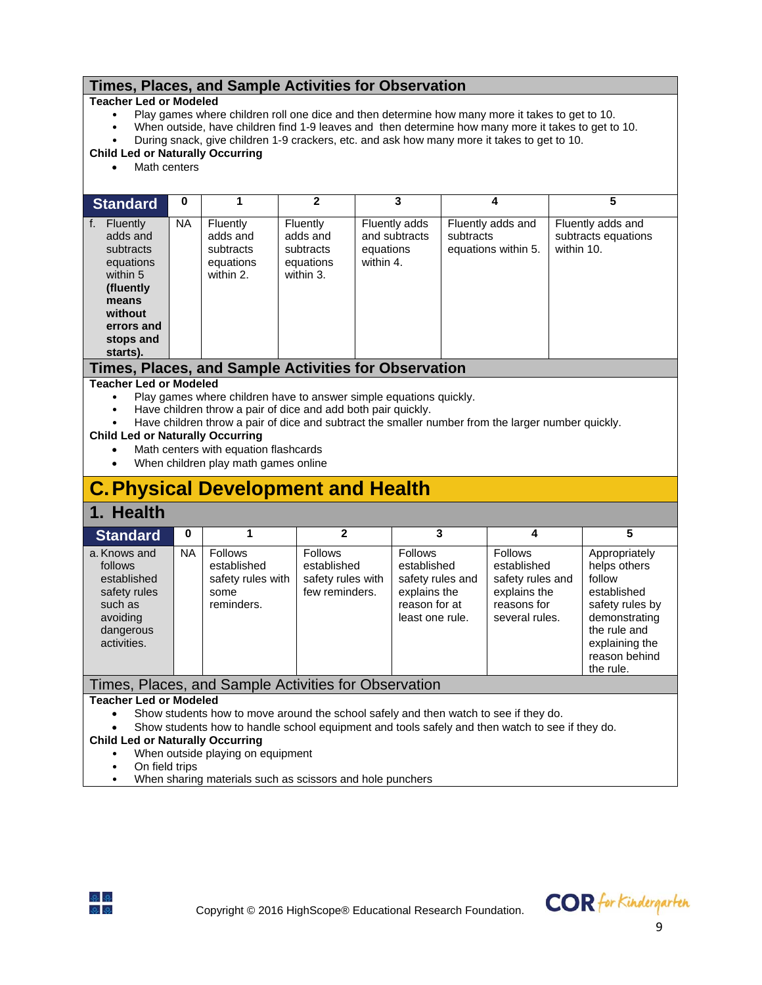### **Times, Places, and Sample Activities for Observation**

#### **Teacher Led or Modeled**

- Play games where children roll one dice and then determine how many more it takes to get to 10.
	- When outside, have children find 1-9 leaves and then determine how many more it takes to get to 10.
- During snack, give children 1-9 crackers, etc. and ask how many more it takes to get to 10.

#### **Child Led or Naturally Occurring**

Math centers

| <b>Standard</b>                                                                                                                                 | 0         |                                                             |                                                             | 3                                                        | 4                                                     | 5                                                      |
|-------------------------------------------------------------------------------------------------------------------------------------------------|-----------|-------------------------------------------------------------|-------------------------------------------------------------|----------------------------------------------------------|-------------------------------------------------------|--------------------------------------------------------|
| <b>Fluently</b><br>f.<br>adds and<br>subtracts<br>equations<br>within 5<br>(fluently<br>means<br>without<br>errors and<br>stops and<br>starts). | <b>NA</b> | Fluently<br>adds and<br>subtracts<br>equations<br>within 2. | Fluently<br>adds and<br>subtracts<br>equations<br>within 3. | Fluently adds<br>and subtracts<br>equations<br>within 4. | Fluently adds and<br>subtracts<br>equations within 5. | Fluently adds and<br>subtracts equations<br>within 10. |
|                                                                                                                                                 |           |                                                             |                                                             | Times, Places, and Sample Activities for Observation     |                                                       |                                                        |

#### **Teacher Led or Modeled**

- Play games where children have to answer simple equations quickly.
- Have children throw a pair of dice and add both pair quickly.
- Have children throw a pair of dice and subtract the smaller number from the larger number quickly.

#### **Child Led or Naturally Occurring**

- Math centers with equation flashcards
- When children play math games online

# **C. Physical Development and Health**

### **1. Health**

| <b>Standard</b>                                                                                           | 0         |                                                                          | 2                                                                    | 3                                                                                              |                                                                                             | 5                                                                                                                                                          |
|-----------------------------------------------------------------------------------------------------------|-----------|--------------------------------------------------------------------------|----------------------------------------------------------------------|------------------------------------------------------------------------------------------------|---------------------------------------------------------------------------------------------|------------------------------------------------------------------------------------------------------------------------------------------------------------|
| a. Knows and<br>follows<br>established<br>safety rules<br>such as<br>avoiding<br>dangerous<br>activities. | <b>NA</b> | <b>Follows</b><br>established<br>safety rules with<br>some<br>reminders. | <b>Follows</b><br>established<br>safety rules with<br>few reminders. | Follows<br>established<br>safety rules and<br>explains the<br>reason for at<br>least one rule. | Follows<br>established<br>safety rules and<br>explains the<br>reasons for<br>several rules. | Appropriately<br>helps others<br>follow<br>established<br>safety rules by<br>demonstrating<br>the rule and<br>explaining the<br>reason behind<br>the rule. |
|                                                                                                           |           |                                                                          | Times, Places, and Sample Activities for Observation                 |                                                                                                |                                                                                             |                                                                                                                                                            |

#### **Teacher Led or Modeled**

- Show students how to move around the school safely and then watch to see if they do.
- Show students how to handle school equipment and tools safely and then watch to see if they do.

## **Child Led or Naturally Occurring**

- When outside playing on equipment
- On field trips
- When sharing materials such as scissors and hole punchers

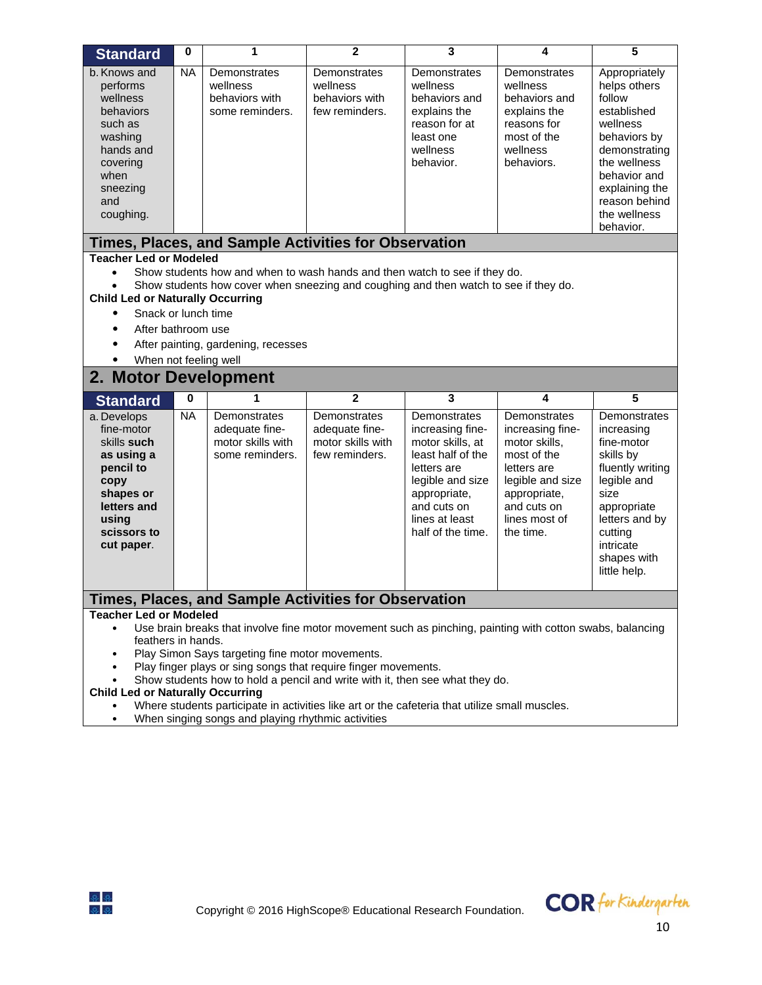| <b>Standard</b>                                                                                                                                                                                                                                                                                                                                                                                    | 0           | 1                                                                                                                                                                                                                                                                                                              | $\mathbf{2}$                                                          | 3                                                                                                                                                                                  | 4                                                                                                                                                                | 5                                                                                                                                                                                                   |  |  |  |
|----------------------------------------------------------------------------------------------------------------------------------------------------------------------------------------------------------------------------------------------------------------------------------------------------------------------------------------------------------------------------------------------------|-------------|----------------------------------------------------------------------------------------------------------------------------------------------------------------------------------------------------------------------------------------------------------------------------------------------------------------|-----------------------------------------------------------------------|------------------------------------------------------------------------------------------------------------------------------------------------------------------------------------|------------------------------------------------------------------------------------------------------------------------------------------------------------------|-----------------------------------------------------------------------------------------------------------------------------------------------------------------------------------------------------|--|--|--|
| b. Knows and<br>performs<br>wellness<br>behaviors<br>such as<br>washing<br>hands and<br>covering<br>when<br>sneezing<br>and<br>coughing.                                                                                                                                                                                                                                                           | <b>NA</b>   | Demonstrates<br>wellness<br>behaviors with<br>some reminders.                                                                                                                                                                                                                                                  | Demonstrates<br>wellness<br>behaviors with<br>few reminders.          | Demonstrates<br>wellness<br>behaviors and<br>explains the<br>reason for at<br>least one<br>wellness<br>behavior.                                                                   | Demonstrates<br>wellness<br>behaviors and<br>explains the<br>reasons for<br>most of the<br>wellness<br>behaviors.                                                | Appropriately<br>helps others<br>follow<br>established<br>wellness<br>behaviors by<br>demonstrating<br>the wellness<br>behavior and<br>explaining the<br>reason behind<br>the wellness<br>behavior. |  |  |  |
|                                                                                                                                                                                                                                                                                                                                                                                                    |             | Times, Places, and Sample Activities for Observation                                                                                                                                                                                                                                                           |                                                                       |                                                                                                                                                                                    |                                                                                                                                                                  |                                                                                                                                                                                                     |  |  |  |
| <b>Teacher Led or Modeled</b><br>Show students how and when to wash hands and then watch to see if they do.<br>$\bullet$<br>Show students how cover when sneezing and coughing and then watch to see if they do.<br><b>Child Led or Naturally Occurring</b><br>Snack or lunch time<br>$\bullet$<br>After bathroom use<br>After painting, gardening, recesses<br>When not feeling well<br>$\bullet$ |             |                                                                                                                                                                                                                                                                                                                |                                                                       |                                                                                                                                                                                    |                                                                                                                                                                  |                                                                                                                                                                                                     |  |  |  |
| 2. Motor Development                                                                                                                                                                                                                                                                                                                                                                               |             |                                                                                                                                                                                                                                                                                                                |                                                                       |                                                                                                                                                                                    |                                                                                                                                                                  |                                                                                                                                                                                                     |  |  |  |
| <b>Standard</b>                                                                                                                                                                                                                                                                                                                                                                                    | $\mathbf 0$ | 1                                                                                                                                                                                                                                                                                                              | $\mathbf{2}$                                                          | 3                                                                                                                                                                                  | 4                                                                                                                                                                | 5                                                                                                                                                                                                   |  |  |  |
| a. Develops<br>fine-motor<br>skills such<br>as using a<br>pencil to<br>copy<br>shapes or<br>letters and<br>using<br>scissors to<br>cut paper.                                                                                                                                                                                                                                                      | <b>NA</b>   | Demonstrates<br>adequate fine-<br>motor skills with<br>some reminders.                                                                                                                                                                                                                                         | Demonstrates<br>adequate fine-<br>motor skills with<br>few reminders. | Demonstrates<br>increasing fine-<br>motor skills, at<br>least half of the<br>letters are<br>legible and size<br>appropriate,<br>and cuts on<br>lines at least<br>half of the time. | Demonstrates<br>increasing fine-<br>motor skills,<br>most of the<br>letters are<br>legible and size<br>appropriate,<br>and cuts on<br>lines most of<br>the time. | Demonstrates<br>increasing<br>fine-motor<br>skills by<br>fluently writing<br>legible and<br>size<br>appropriate<br>letters and by<br>cutting<br>intricate<br>shapes with<br>little help.            |  |  |  |
|                                                                                                                                                                                                                                                                                                                                                                                                    |             | Times, Places, and Sample Activities for Observation                                                                                                                                                                                                                                                           |                                                                       |                                                                                                                                                                                    |                                                                                                                                                                  |                                                                                                                                                                                                     |  |  |  |
| <b>Teacher Led or Modeled</b><br>$\bullet$<br>feathers in hands.<br><b>Child Led or Naturally Occurring</b>                                                                                                                                                                                                                                                                                        |             | Use brain breaks that involve fine motor movement such as pinching, painting with cotton swabs, balancing<br>Play Simon Says targeting fine motor movements.<br>Play finger plays or sing songs that require finger movements.<br>Show students how to hold a pencil and write with it, then see what they do. |                                                                       |                                                                                                                                                                                    |                                                                                                                                                                  |                                                                                                                                                                                                     |  |  |  |

- Where students participate in activities like art or the cafeteria that utilize small muscles.
- When singing songs and playing rhythmic activities

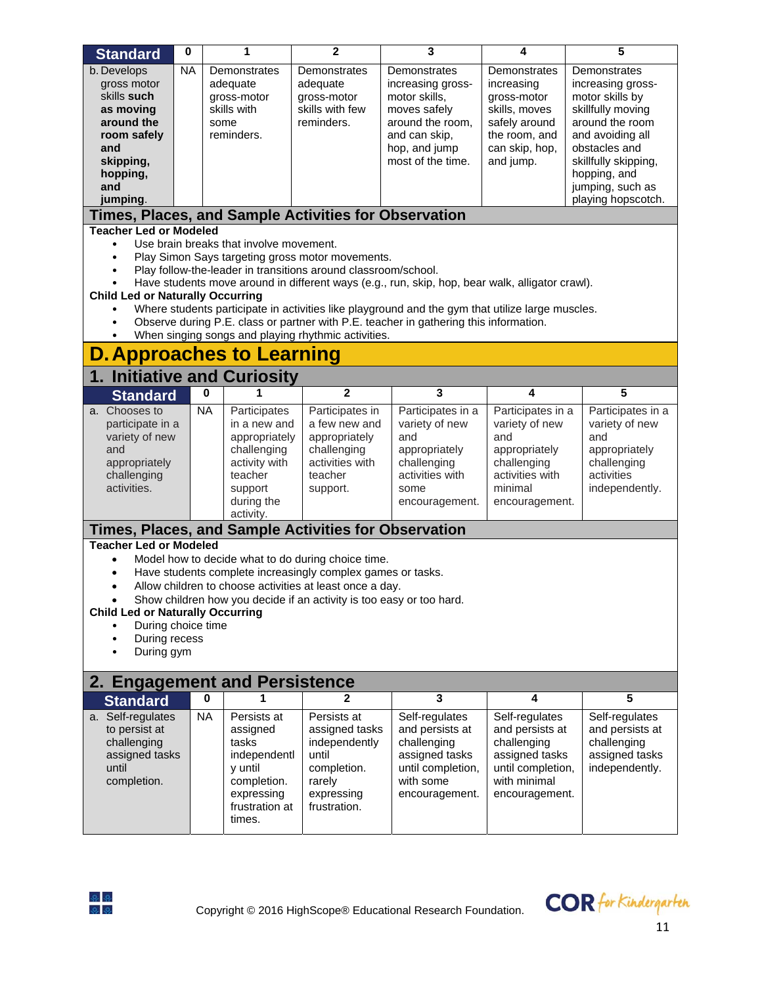| <b>Standard</b>                                                                              | $\bf{0}$  |           | 1                                       | $\mathbf{2}$                                                                                                      | 3                                                                                                | 4                 | 5                    |  |  |  |
|----------------------------------------------------------------------------------------------|-----------|-----------|-----------------------------------------|-------------------------------------------------------------------------------------------------------------------|--------------------------------------------------------------------------------------------------|-------------------|----------------------|--|--|--|
| b. Develops                                                                                  | <b>NA</b> |           | Demonstrates                            | Demonstrates                                                                                                      | Demonstrates                                                                                     | Demonstrates      | Demonstrates         |  |  |  |
| gross motor                                                                                  |           |           | adequate                                | adequate                                                                                                          | increasing gross-                                                                                | increasing        | increasing gross-    |  |  |  |
| skills such                                                                                  |           |           | gross-motor                             | gross-motor                                                                                                       | motor skills,                                                                                    | gross-motor       | motor skills by      |  |  |  |
| as moving                                                                                    |           |           | skills with                             | skills with few                                                                                                   | moves safely                                                                                     | skills, moves     | skillfully moving    |  |  |  |
| around the                                                                                   |           | some      |                                         | reminders.                                                                                                        | around the room,                                                                                 | safely around     | around the room      |  |  |  |
| room safely                                                                                  |           |           | reminders.                              |                                                                                                                   | and can skip,                                                                                    | the room, and     | and avoiding all     |  |  |  |
| and                                                                                          |           |           |                                         |                                                                                                                   | hop, and jump                                                                                    | can skip, hop,    | obstacles and        |  |  |  |
| skipping,                                                                                    |           |           |                                         |                                                                                                                   | most of the time.                                                                                | and jump.         | skillfully skipping, |  |  |  |
| hopping,                                                                                     |           |           |                                         |                                                                                                                   |                                                                                                  |                   | hopping, and         |  |  |  |
| and                                                                                          |           |           |                                         |                                                                                                                   |                                                                                                  |                   | jumping, such as     |  |  |  |
| jumping.                                                                                     |           |           |                                         |                                                                                                                   |                                                                                                  |                   | playing hopscotch.   |  |  |  |
| <b>Times, Places, and Sample Activities for Observation</b><br><b>Teacher Led or Modeled</b> |           |           |                                         |                                                                                                                   |                                                                                                  |                   |                      |  |  |  |
|                                                                                              |           |           | Use brain breaks that involve movement. |                                                                                                                   |                                                                                                  |                   |                      |  |  |  |
| ٠                                                                                            |           |           |                                         | Play Simon Says targeting gross motor movements.                                                                  |                                                                                                  |                   |                      |  |  |  |
| $\bullet$                                                                                    |           |           |                                         | Play follow-the-leader in transitions around classroom/school.                                                    |                                                                                                  |                   |                      |  |  |  |
|                                                                                              |           |           |                                         |                                                                                                                   | Have students move around in different ways (e.g., run, skip, hop, bear walk, alligator crawl).  |                   |                      |  |  |  |
| <b>Child Led or Naturally Occurring</b>                                                      |           |           |                                         |                                                                                                                   |                                                                                                  |                   |                      |  |  |  |
| $\bullet$                                                                                    |           |           |                                         |                                                                                                                   | Where students participate in activities like playground and the gym that utilize large muscles. |                   |                      |  |  |  |
| $\bullet$                                                                                    |           |           |                                         |                                                                                                                   | Observe during P.E. class or partner with P.E. teacher in gathering this information.            |                   |                      |  |  |  |
| $\bullet$                                                                                    |           |           |                                         | When singing songs and playing rhythmic activities.                                                               |                                                                                                  |                   |                      |  |  |  |
| <b>D. Approaches to Learning</b>                                                             |           |           |                                         |                                                                                                                   |                                                                                                  |                   |                      |  |  |  |
| 1. Initiative and Curiosity                                                                  |           |           |                                         |                                                                                                                   |                                                                                                  |                   |                      |  |  |  |
| <b>Standard</b>                                                                              |           | 0         |                                         | $\mathbf{2}$                                                                                                      | 3                                                                                                | 4                 | 5                    |  |  |  |
| a. Chooses to                                                                                |           | <b>NA</b> | Participates                            | Participates in                                                                                                   | Participates in a                                                                                | Participates in a | Participates in a    |  |  |  |
| participate in a                                                                             |           |           | in a new and                            | a few new and                                                                                                     | variety of new                                                                                   | variety of new    | variety of new       |  |  |  |
| variety of new                                                                               |           |           | appropriately                           | appropriately                                                                                                     | and                                                                                              | and               | and                  |  |  |  |
| and                                                                                          |           |           | challenging                             | challenging                                                                                                       | appropriately                                                                                    | appropriately     | appropriately        |  |  |  |
| appropriately                                                                                |           |           | activity with                           | activities with                                                                                                   | challenging                                                                                      | challenging       | challenging          |  |  |  |
| challenging                                                                                  |           |           | teacher                                 | teacher                                                                                                           | activities with                                                                                  | activities with   | activities           |  |  |  |
| activities.                                                                                  |           |           | support                                 | support.                                                                                                          | some                                                                                             | minimal           | independently.       |  |  |  |
|                                                                                              |           |           | during the                              |                                                                                                                   | encouragement.                                                                                   | encouragement.    |                      |  |  |  |
|                                                                                              |           |           | activity.                               |                                                                                                                   |                                                                                                  |                   |                      |  |  |  |
| <b>Teacher Led or Modeled</b>                                                                |           |           |                                         | Times, Places, and Sample Activities for Observation                                                              |                                                                                                  |                   |                      |  |  |  |
|                                                                                              |           |           |                                         |                                                                                                                   |                                                                                                  |                   |                      |  |  |  |
| $\bullet$                                                                                    |           |           |                                         | Model how to decide what to do during choice time.<br>Have students complete increasingly complex games or tasks. |                                                                                                  |                   |                      |  |  |  |
|                                                                                              |           |           |                                         | Allow children to choose activities at least once a day.                                                          |                                                                                                  |                   |                      |  |  |  |
|                                                                                              |           |           |                                         |                                                                                                                   |                                                                                                  |                   |                      |  |  |  |
|                                                                                              |           |           |                                         | Show children how you decide if an activity is too easy or too hard.                                              |                                                                                                  |                   |                      |  |  |  |
| <b>Child Led or Naturally Occurring</b><br>During choice time                                |           |           |                                         |                                                                                                                   |                                                                                                  |                   |                      |  |  |  |
| During recess                                                                                |           |           |                                         |                                                                                                                   |                                                                                                  |                   |                      |  |  |  |
| During gym                                                                                   |           |           |                                         |                                                                                                                   |                                                                                                  |                   |                      |  |  |  |
|                                                                                              |           |           |                                         |                                                                                                                   |                                                                                                  |                   |                      |  |  |  |
| 2. Engagement and Persistence                                                                |           |           |                                         |                                                                                                                   |                                                                                                  |                   |                      |  |  |  |
| <b>Standard</b>                                                                              |           | 0         |                                         | 2                                                                                                                 | 3                                                                                                | 4                 | 5                    |  |  |  |
| a. Self-regulates                                                                            |           | <b>NA</b> | Persists at                             | Persists at                                                                                                       | Self-regulates                                                                                   | Self-regulates    | Self-regulates       |  |  |  |
| to persist at                                                                                |           |           | assigned                                | assigned tasks                                                                                                    | and persists at                                                                                  | and persists at   | and persists at      |  |  |  |
| challenging                                                                                  |           |           | tasks                                   | independently                                                                                                     | challenging                                                                                      | challenging       | challenging          |  |  |  |
| assigned tasks                                                                               |           |           | independentl                            | until                                                                                                             | assigned tasks                                                                                   | assigned tasks    | assigned tasks       |  |  |  |
| until                                                                                        |           |           | y until                                 | completion.                                                                                                       | until completion,                                                                                | until completion, | independently.       |  |  |  |
| completion.                                                                                  |           |           | completion.                             | rarely                                                                                                            | with some                                                                                        | with minimal      |                      |  |  |  |
|                                                                                              |           |           | expressing                              | expressing                                                                                                        | encouragement.                                                                                   | encouragement.    |                      |  |  |  |
|                                                                                              |           |           | frustration at                          | frustration.                                                                                                      |                                                                                                  |                   |                      |  |  |  |
|                                                                                              |           |           | times.                                  |                                                                                                                   |                                                                                                  |                   |                      |  |  |  |
|                                                                                              |           |           |                                         |                                                                                                                   |                                                                                                  |                   |                      |  |  |  |



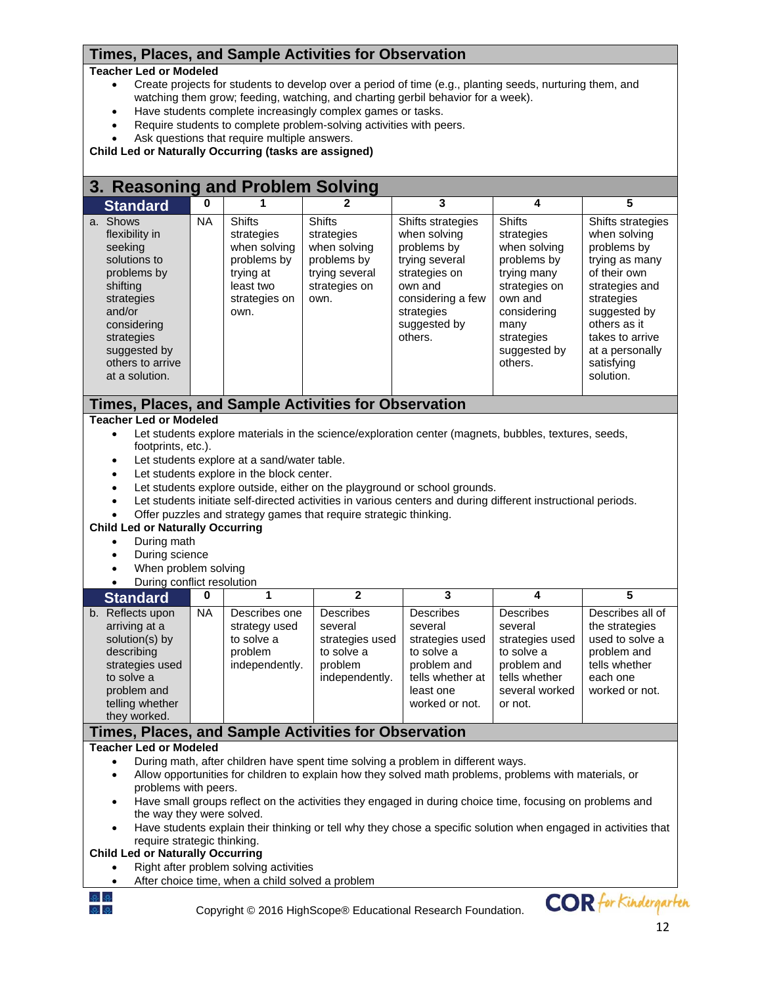### **Times, Places, and Sample Activities for Observation**

#### **Teacher Led or Modeled**

- Create projects for students to develop over a period of time (e.g., planting seeds, nurturing them, and watching them grow; feeding, watching, and charting gerbil behavior for a week).
- Have students complete increasingly complex games or tasks.
- Require students to complete problem-solving activities with peers.
- Ask questions that require multiple answers.

**Child Led or Naturally Occurring (tasks are assigned)** 

# **3. Reasoning and Problem Solving**

| J. Reasoning and Floblem Jorning                                                                                                                                                                                                                                                                                                                                                                                                                                                                                                                                                                                                                                                                                 |           |                                                                                                               |                                                                                                |                                                                                                                                                              |                                                                                                                                                                       |                                                                                                                                                                                                                     |  |  |
|------------------------------------------------------------------------------------------------------------------------------------------------------------------------------------------------------------------------------------------------------------------------------------------------------------------------------------------------------------------------------------------------------------------------------------------------------------------------------------------------------------------------------------------------------------------------------------------------------------------------------------------------------------------------------------------------------------------|-----------|---------------------------------------------------------------------------------------------------------------|------------------------------------------------------------------------------------------------|--------------------------------------------------------------------------------------------------------------------------------------------------------------|-----------------------------------------------------------------------------------------------------------------------------------------------------------------------|---------------------------------------------------------------------------------------------------------------------------------------------------------------------------------------------------------------------|--|--|
| <b>Standard</b>                                                                                                                                                                                                                                                                                                                                                                                                                                                                                                                                                                                                                                                                                                  | 0         |                                                                                                               | $\mathbf{2}$                                                                                   | $\overline{\mathbf{3}}$                                                                                                                                      | 4                                                                                                                                                                     | 5                                                                                                                                                                                                                   |  |  |
| a. Shows<br>flexibility in<br>seeking<br>solutions to<br>problems by<br>shifting<br>strategies<br>and/or<br>considering<br>strategies<br>suggested by<br>others to arrive<br>at a solution.                                                                                                                                                                                                                                                                                                                                                                                                                                                                                                                      | <b>NA</b> | <b>Shifts</b><br>strategies<br>when solving<br>problems by<br>trying at<br>least two<br>strategies on<br>own. | Shifts<br>strategies<br>when solving<br>problems by<br>trying several<br>strategies on<br>own. | Shifts strategies<br>when solving<br>problems by<br>trying several<br>strategies on<br>own and<br>considering a few<br>strategies<br>suggested by<br>others. | <b>Shifts</b><br>strategies<br>when solving<br>problems by<br>trying many<br>strategies on<br>own and<br>considering<br>many<br>strategies<br>suggested by<br>others. | Shifts strategies<br>when solving<br>problems by<br>trying as many<br>of their own<br>strategies and<br>strategies<br>suggested by<br>others as it<br>takes to arrive<br>at a personally<br>satisfying<br>solution. |  |  |
| Times, Places, and Sample Activities for Observation                                                                                                                                                                                                                                                                                                                                                                                                                                                                                                                                                                                                                                                             |           |                                                                                                               |                                                                                                |                                                                                                                                                              |                                                                                                                                                                       |                                                                                                                                                                                                                     |  |  |
| <b>Teacher Led or Modeled</b><br>Let students explore materials in the science/exploration center (magnets, bubbles, textures, seeds,<br>$\bullet$<br>footprints, etc.).<br>Let students explore at a sand/water table.<br>$\bullet$<br>Let students explore in the block center.<br>Let students explore outside, either on the playground or school grounds.<br>$\bullet$<br>Let students initiate self-directed activities in various centers and during different instructional periods.<br>Offer puzzles and strategy games that require strategic thinking.<br><b>Child Led or Naturally Occurring</b><br>During math<br>During science<br>When problem solving<br>During conflict resolution<br>$\bullet$ |           |                                                                                                               |                                                                                                |                                                                                                                                                              |                                                                                                                                                                       |                                                                                                                                                                                                                     |  |  |
| <b>Standard</b>                                                                                                                                                                                                                                                                                                                                                                                                                                                                                                                                                                                                                                                                                                  | 0         | 1                                                                                                             | $\overline{2}$                                                                                 | 3                                                                                                                                                            | 4                                                                                                                                                                     | 5                                                                                                                                                                                                                   |  |  |
| b. Reflects upon<br>arriving at a<br>solution(s) by<br>describing<br>strategies used<br>to solve a<br>problem and<br>telling whether                                                                                                                                                                                                                                                                                                                                                                                                                                                                                                                                                                             | <b>NA</b> | Describes one<br>strategy used<br>to solve a<br>problem<br>independently.                                     | <b>Describes</b><br>several<br>strategies used<br>to solve a<br>problem<br>independently.      | <b>Describes</b><br>several<br>strategies used<br>to solve a<br>problem and<br>tells whether at<br>least one<br>worked or not.                               | <b>Describes</b><br>several<br>strategies used<br>to solve a<br>problem and<br>tells whether<br>several worked<br>or not.                                             | Describes all of<br>the strategies<br>used to solve a<br>problem and<br>tells whether<br>each one<br>worked or not.                                                                                                 |  |  |

#### **Times, Places, and Sample Activities for Observation Teacher Led or Modeled**

they worked.

- During math, after children have spent time solving a problem in different ways.
- Allow opportunities for children to explain how they solved math problems, problems with materials, or problems with peers.
- Have small groups reflect on the activities they engaged in during choice time, focusing on problems and the way they were solved.
- Have students explain their thinking or tell why they chose a specific solution when engaged in activities that require strategic thinking.

#### **Child Led or Naturally Occurring**

- Right after problem solving activities
- After choice time, when a child solved a problem

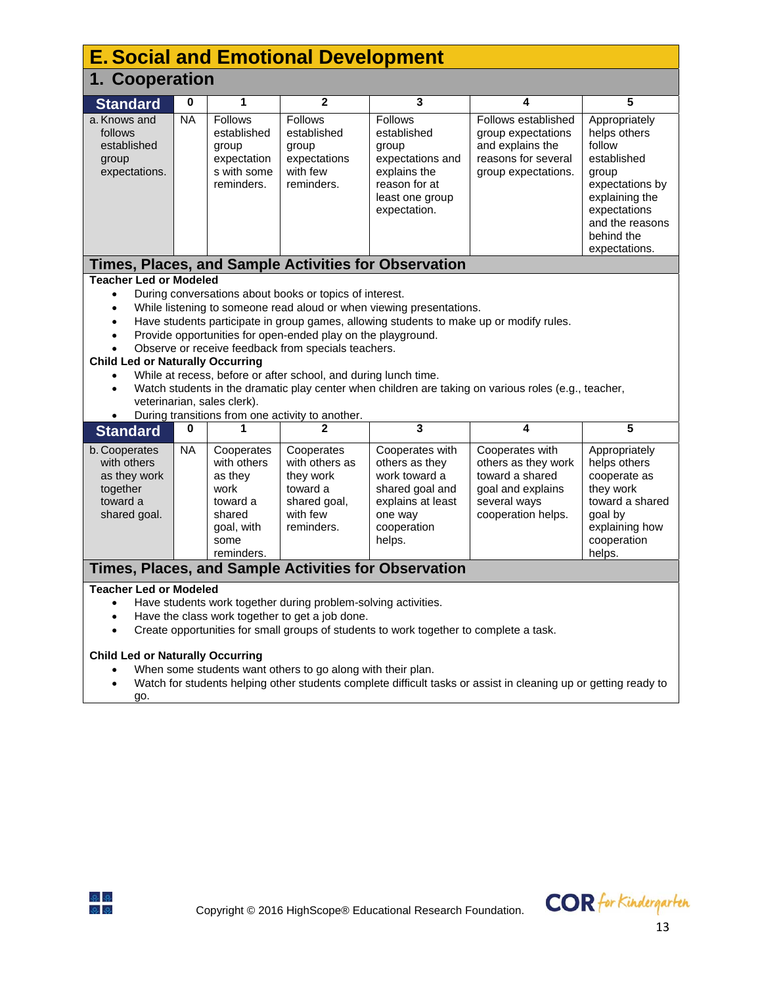| <b>E. Social and Emotional Development</b>                                                                                                                                                                                                                                                                                                                                                                                                                                                                                                                                                                                                                                                                                                                   |           |                                                                                                        |                                                                                                 |                                                                                                                                |                                                                                                                      |                                                                                                                                                                        |  |  |
|--------------------------------------------------------------------------------------------------------------------------------------------------------------------------------------------------------------------------------------------------------------------------------------------------------------------------------------------------------------------------------------------------------------------------------------------------------------------------------------------------------------------------------------------------------------------------------------------------------------------------------------------------------------------------------------------------------------------------------------------------------------|-----------|--------------------------------------------------------------------------------------------------------|-------------------------------------------------------------------------------------------------|--------------------------------------------------------------------------------------------------------------------------------|----------------------------------------------------------------------------------------------------------------------|------------------------------------------------------------------------------------------------------------------------------------------------------------------------|--|--|
| 1. Cooperation                                                                                                                                                                                                                                                                                                                                                                                                                                                                                                                                                                                                                                                                                                                                               |           |                                                                                                        |                                                                                                 |                                                                                                                                |                                                                                                                      |                                                                                                                                                                        |  |  |
| <b>Standard</b>                                                                                                                                                                                                                                                                                                                                                                                                                                                                                                                                                                                                                                                                                                                                              | 0         | 1                                                                                                      | $\mathbf{2}$                                                                                    | 3                                                                                                                              | 4                                                                                                                    | 5                                                                                                                                                                      |  |  |
| a. Knows and<br>follows<br>established<br>group<br>expectations.                                                                                                                                                                                                                                                                                                                                                                                                                                                                                                                                                                                                                                                                                             | <b>NA</b> | <b>Follows</b><br>established<br>group<br>expectation<br>s with some<br>reminders.                     | <b>Follows</b><br>established<br>group<br>expectations<br>with few<br>reminders.                | <b>Follows</b><br>established<br>group<br>expectations and<br>explains the<br>reason for at<br>least one group<br>expectation. | Follows established<br>group expectations<br>and explains the<br>reasons for several<br>group expectations.          | Appropriately<br>helps others<br>follow<br>established<br>group<br>expectations by<br>explaining the<br>expectations<br>and the reasons<br>behind the<br>expectations. |  |  |
|                                                                                                                                                                                                                                                                                                                                                                                                                                                                                                                                                                                                                                                                                                                                                              |           |                                                                                                        |                                                                                                 | Times, Places, and Sample Activities for Observation                                                                           |                                                                                                                      |                                                                                                                                                                        |  |  |
| <b>Teacher Led or Modeled</b><br>During conversations about books or topics of interest.<br>$\bullet$<br>While listening to someone read aloud or when viewing presentations.<br>$\bullet$<br>Have students participate in group games, allowing students to make up or modify rules.<br>$\bullet$<br>Provide opportunities for open-ended play on the playground.<br>$\bullet$<br>Observe or receive feedback from specials teachers.<br><b>Child Led or Naturally Occurring</b><br>While at recess, before or after school, and during lunch time.<br>Watch students in the dramatic play center when children are taking on various roles (e.g., teacher,<br>$\bullet$<br>veterinarian, sales clerk).<br>During transitions from one activity to another. |           |                                                                                                        |                                                                                                 |                                                                                                                                |                                                                                                                      |                                                                                                                                                                        |  |  |
| <b>Standard</b>                                                                                                                                                                                                                                                                                                                                                                                                                                                                                                                                                                                                                                                                                                                                              | 0         | 1                                                                                                      | $\mathbf{2}$                                                                                    | $\overline{\mathbf{3}}$                                                                                                        | 4                                                                                                                    | 5                                                                                                                                                                      |  |  |
| b. Cooperates<br>with others<br>as they work<br>together<br>toward a<br>shared goal.                                                                                                                                                                                                                                                                                                                                                                                                                                                                                                                                                                                                                                                                         | <b>NA</b> | Cooperates<br>with others<br>as they<br>work<br>toward a<br>shared<br>goal, with<br>some<br>reminders. | Cooperates<br>with others as<br>they work<br>toward a<br>shared goal,<br>with few<br>reminders. | Cooperates with<br>others as they<br>work toward a<br>shared goal and<br>explains at least<br>one way<br>cooperation<br>helps. | Cooperates with<br>others as they work<br>toward a shared<br>goal and explains<br>several ways<br>cooperation helps. | Appropriately<br>helps others<br>cooperate as<br>they work<br>toward a shared<br>goal by<br>explaining how<br>cooperation<br>helps.                                    |  |  |
| Times, Places, and Sample Activities for Observation                                                                                                                                                                                                                                                                                                                                                                                                                                                                                                                                                                                                                                                                                                         |           |                                                                                                        |                                                                                                 |                                                                                                                                |                                                                                                                      |                                                                                                                                                                        |  |  |
| <b>Teacher Led or Modeled</b><br>Have students work together during problem-solving activities.<br>$\bullet$<br>Have the class work together to get a job done.<br>$\bullet$<br>Create opportunities for small groups of students to work together to complete a task.<br>$\bullet$                                                                                                                                                                                                                                                                                                                                                                                                                                                                          |           |                                                                                                        |                                                                                                 |                                                                                                                                |                                                                                                                      |                                                                                                                                                                        |  |  |

#### **Child Led or Naturally Occurring**

- When some students want others to go along with their plan.
- Watch for students helping other students complete difficult tasks or assist in cleaning up or getting ready to go.